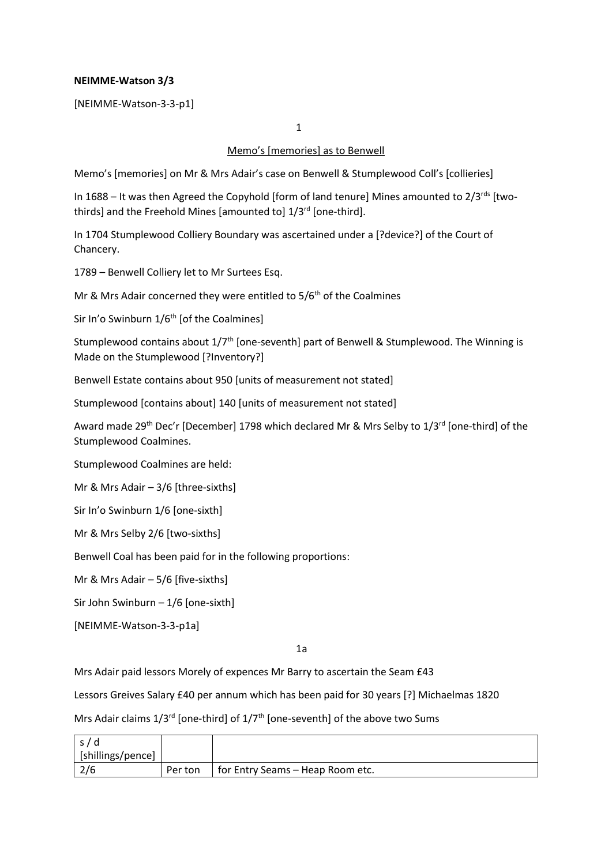## **NEIMME-Watson 3/3**

[NEIMME-Watson-3-3-p1]

1

## Memo's [memories] as to Benwell

Memo's [memories] on Mr & Mrs Adair's case on Benwell & Stumplewood Coll's [collieries]

In 1688 – It was then Agreed the Copyhold [form of land tenure] Mines amounted to  $2/3^{rds}$  [twothirds] and the Freehold Mines [amounted to]  $1/3<sup>rd</sup>$  [one-third].

In 1704 Stumplewood Colliery Boundary was ascertained under a [?device?] of the Court of Chancery.

1789 – Benwell Colliery let to Mr Surtees Esq.

Mr & Mrs Adair concerned they were entitled to  $5/6<sup>th</sup>$  of the Coalmines

Sir In'o Swinburn 1/6<sup>th</sup> [of the Coalmines]

Stumplewood contains about  $1/7<sup>th</sup>$  [one-seventh] part of Benwell & Stumplewood. The Winning is Made on the Stumplewood [?Inventory?]

Benwell Estate contains about 950 [units of measurement not stated]

Stumplewood [contains about] 140 [units of measurement not stated]

Award made 29<sup>th</sup> Dec'r [December] 1798 which declared Mr & Mrs Selby to 1/3<sup>rd</sup> [one-third] of the Stumplewood Coalmines.

Stumplewood Coalmines are held:

Mr & Mrs Adair – 3/6 [three-sixths]

Sir In'o Swinburn 1/6 [one-sixth]

Mr & Mrs Selby 2/6 [two-sixths]

Benwell Coal has been paid for in the following proportions:

Mr & Mrs Adair – 5/6 [five-sixths]

Sir John Swinburn – 1/6 [one-sixth]

[NEIMME-Watson-3-3-p1a]

1a

Mrs Adair paid lessors Morely of expences Mr Barry to ascertain the Seam £43

Lessors Greives Salary £40 per annum which has been paid for 30 years [?] Michaelmas 1820

Mrs Adair claims  $1/3^{rd}$  [one-third] of  $1/7^{th}$  [one-seventh] of the above two Sums

| s/d               |         |                                  |
|-------------------|---------|----------------------------------|
| [shillings/pence] |         |                                  |
| 2/6               | Per ton | for Entry Seams – Heap Room etc. |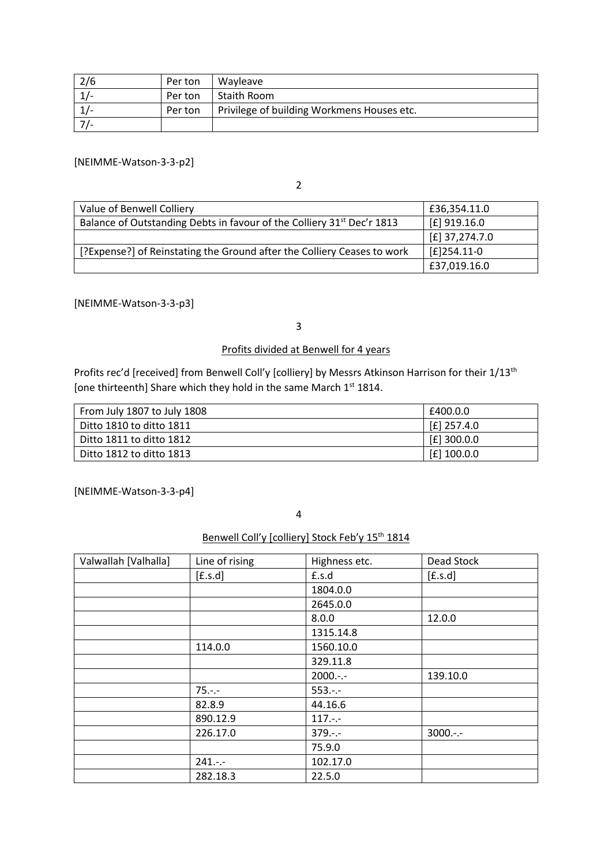| 2/6 | Per ton | Wavleave                                   |
|-----|---------|--------------------------------------------|
|     | Per ton | Staith Room                                |
|     | Per ton | Privilege of building Workmens Houses etc. |
|     |         |                                            |

[NEIMME-Watson-3-3-p2]

2

| Value of Benwell Colliery                                                          | £36,354.11.0     |
|------------------------------------------------------------------------------------|------------------|
| Balance of Outstanding Debts in favour of the Colliery 31 <sup>st</sup> Dec'r 1813 | $E$ ] 919.16.0   |
|                                                                                    | $E$ ] 37,274.7.0 |
| [?Expense?] of Reinstating the Ground after the Colliery Ceases to work            | $E$ ]254.11-0    |
|                                                                                    | £37,019.16.0     |

[NEIMME-Watson-3-3-p3]

3

# Profits divided at Benwell for 4 years

Profits rec'd [received] from Benwell Coll'y [colliery] by Messrs Atkinson Harrison for their 1/13<sup>th</sup> [one thirteenth] Share which they hold in the same March 1<sup>st</sup> 1814.

| From July 1807 to July 1808 | £400.0.0      |
|-----------------------------|---------------|
| Ditto 1810 to ditto 1811    | $[£]$ 257.4.0 |
| Ditto 1811 to ditto 1812    | $[£]$ 300.0.0 |
| Ditto 1812 to ditto 1813    | $[£]$ 100.0.0 |

[NEIMME-Watson-3-3-p4]

4

Benwell Coll'y [colliery] Stock Feb'y 15<sup>th</sup> 1814

| Valwallah [Valhalla] | Line of rising                     | Highness etc. | Dead Stock |
|----------------------|------------------------------------|---------------|------------|
|                      | [ <b>f</b> . <b>s</b> . <b>d</b> ] | £.s.d         | [£s.d]     |
|                      |                                    | 1804.0.0      |            |
|                      |                                    | 2645.0.0      |            |
|                      |                                    | 8.0.0         | 12.0.0     |
|                      |                                    | 1315.14.8     |            |
|                      | 114.0.0                            | 1560.10.0     |            |
|                      |                                    | 329.11.8      |            |
|                      |                                    | $2000:--$     | 139.10.0   |
|                      | $75. - -$                          | $553:-$       |            |
|                      | 82.8.9                             | 44.16.6       |            |
|                      | 890.12.9                           | $117. - -$    |            |
|                      | 226.17.0                           | $379. - -$    | $3000:-$   |
|                      |                                    | 75.9.0        |            |
|                      | $241. - -$                         | 102.17.0      |            |
|                      | 282.18.3                           | 22.5.0        |            |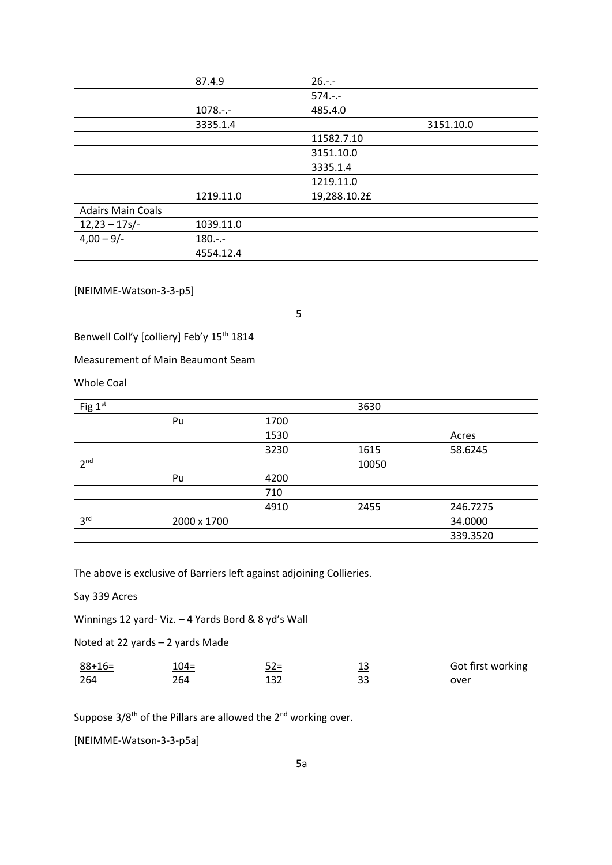|                          | 87.4.9      | $26. - -$    |           |
|--------------------------|-------------|--------------|-----------|
|                          |             | $574. - -$   |           |
|                          | $1078. - -$ | 485.4.0      |           |
|                          | 3335.1.4    |              | 3151.10.0 |
|                          |             | 11582.7.10   |           |
|                          |             | 3151.10.0    |           |
|                          |             | 3335.1.4     |           |
|                          |             | 1219.11.0    |           |
|                          | 1219.11.0   | 19,288.10.2£ |           |
| <b>Adairs Main Coals</b> |             |              |           |
| $12,23 - 17s$            | 1039.11.0   |              |           |
| $4,00 - 9/$              | $180. - -$  |              |           |
|                          | 4554.12.4   |              |           |

[NEIMME-Watson-3-3-p5]

5

Benwell Coll'y [colliery] Feb'y 15<sup>th</sup> 1814

#### Measurement of Main Beaumont Seam

Whole Coal

| Fig 1st         |             |      | 3630  |          |
|-----------------|-------------|------|-------|----------|
|                 | Pu          | 1700 |       |          |
|                 |             | 1530 |       | Acres    |
|                 |             | 3230 | 1615  | 58.6245  |
| 2 <sup>nd</sup> |             |      | 10050 |          |
|                 | Pu          | 4200 |       |          |
|                 |             | 710  |       |          |
|                 |             | 4910 | 2455  | 246.7275 |
| 3 <sup>rd</sup> | 2000 x 1700 |      |       | 34.0000  |
|                 |             |      |       | 339.3520 |

The above is exclusive of Barriers left against adjoining Collieries.

# Say 339 Acres

Winnings 12 yard- Viz. – 4 Yards Bord & 8 yd's Wall

Noted at 22 yards – 2 yards Made

| $88+16=$ | $104 =$ | $ \sim$<br><u>52=</u> | $\sim$<br><u>ب⊥</u>    | Got first working |
|----------|---------|-----------------------|------------------------|-------------------|
| 264      | 264     | 132                   | $\mathbf{\sim}$<br>ر ر | over              |

Suppose  $3/8^{th}$  of the Pillars are allowed the  $2^{nd}$  working over.

[NEIMME-Watson-3-3-p5a]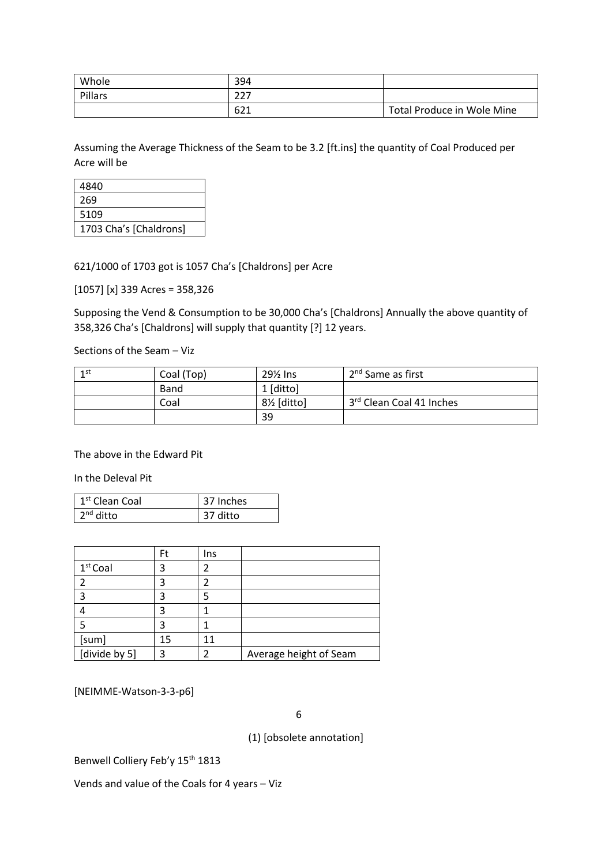| Whole   | 394          |                            |
|---------|--------------|----------------------------|
| Pillars | ววว<br>ر ے ے |                            |
|         | 621          | Total Produce in Wole Mine |

Assuming the Average Thickness of the Seam to be 3.2 [ft.ins] the quantity of Coal Produced per Acre will be

| 4840                   |
|------------------------|
| 269                    |
| 5109                   |
| 1703 Cha's [Chaldrons] |

621/1000 of 1703 got is 1057 Cha's [Chaldrons] per Acre

[1057] [x] 339 Acres = 358,326

Supposing the Vend & Consumption to be 30,000 Cha's [Chaldrons] Annually the above quantity of 358,326 Cha's [Chaldrons] will supply that quantity [?] 12 years.

Sections of the Seam – Viz

| 1st | Coal (Top) | $29\%$ lns | 2 <sup>nd</sup> Same as first |
|-----|------------|------------|-------------------------------|
|     | Band       | 1 [ditto]  |                               |
|     | Coal       | 8½ [ditto] | 3rd Clean Coal 41 Inches      |
|     |            | 39         |                               |

The above in the Edward Pit

In the Deleval Pit

| 1 <sup>st</sup> Clean Coal | 37 Inches |  |
|----------------------------|-----------|--|
| n <sup>nd</sup> ditto      | 37 ditto  |  |

|               | Ft | Ins |                        |
|---------------|----|-----|------------------------|
| $1st$ Coal    |    |     |                        |
| 2             |    |     |                        |
| 3             |    |     |                        |
|               |    |     |                        |
|               |    |     |                        |
| [sum]         | 15 |     |                        |
| [divide by 5] | ว  |     | Average height of Seam |

[NEIMME-Watson-3-3-p6]

6

(1) [obsolete annotation]

Benwell Colliery Feb'y 15<sup>th</sup> 1813

Vends and value of the Coals for 4 years – Viz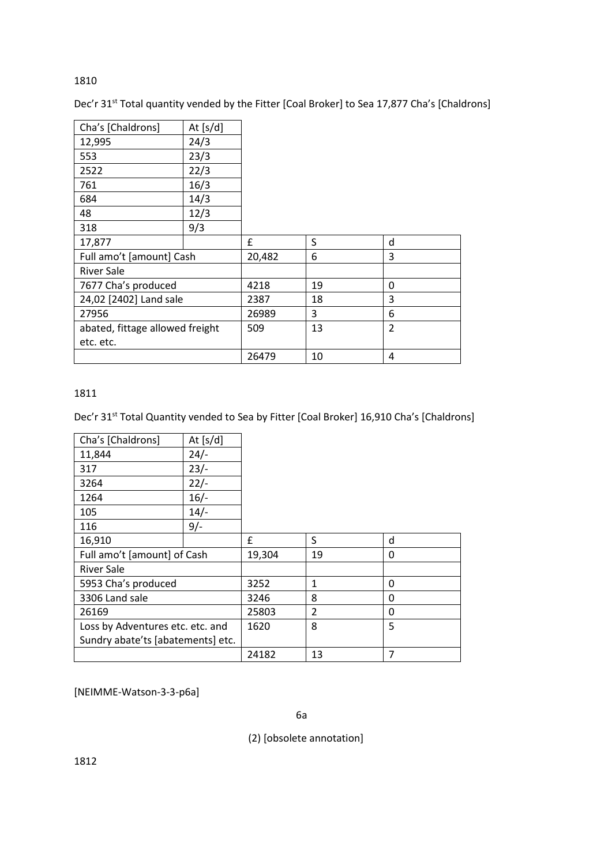# 1810

Dec'r 31<sup>st</sup> Total quantity vended by the Fitter [Coal Broker] to Sea 17,877 Cha's [Chaldrons]

| Cha's [Chaldrons]               | At $[s/d]$ |        |    |                |
|---------------------------------|------------|--------|----|----------------|
| 12,995                          | 24/3       |        |    |                |
| 553                             | 23/3       |        |    |                |
| 2522                            | 22/3       |        |    |                |
| 761                             | 16/3       |        |    |                |
| 684                             | 14/3       |        |    |                |
| 48                              | 12/3       |        |    |                |
| 318                             | 9/3        |        |    |                |
| 17,877                          |            | £      | S  | d              |
| Full amo't [amount] Cash        |            | 20,482 | 6  | 3              |
| <b>River Sale</b>               |            |        |    |                |
| 7677 Cha's produced             |            | 4218   | 19 | 0              |
| 24,02 [2402] Land sale          |            | 2387   | 18 | 3              |
| 27956                           |            | 26989  | 3  | 6              |
| abated, fittage allowed freight |            | 509    | 13 | $\overline{2}$ |
| etc. etc.                       |            |        |    |                |
|                                 |            | 26479  | 10 | 4              |

# 1811

Dec'r 31<sup>st</sup> Total Quantity vended to Sea by Fitter [Coal Broker] 16,910 Cha's [Chaldrons]

| Cha's [Chaldrons]                 | At $[s/d]$ |        |                |   |
|-----------------------------------|------------|--------|----------------|---|
| 11,844                            | $24/-$     |        |                |   |
| 317                               | $23/-$     |        |                |   |
| 3264                              | $22/-$     |        |                |   |
| 1264                              | $16/-$     |        |                |   |
| 105                               | $14/-$     |        |                |   |
| 116                               | $9/-$      |        |                |   |
| 16,910                            |            | £      | S              | d |
| Full amo't [amount] of Cash       |            | 19,304 | 19             | 0 |
| <b>River Sale</b>                 |            |        |                |   |
| 5953 Cha's produced               |            | 3252   | 1              | 0 |
| 3306 Land sale                    |            | 3246   | 8              | 0 |
| 26169                             |            | 25803  | $\overline{2}$ | 0 |
| Loss by Adventures etc. etc. and  |            | 1620   | 8              | 5 |
| Sundry abate'ts [abatements] etc. |            |        |                |   |
|                                   |            | 24182  | 13             | 7 |

[NEIMME-Watson-3-3-p6a]

(2) [obsolete annotation]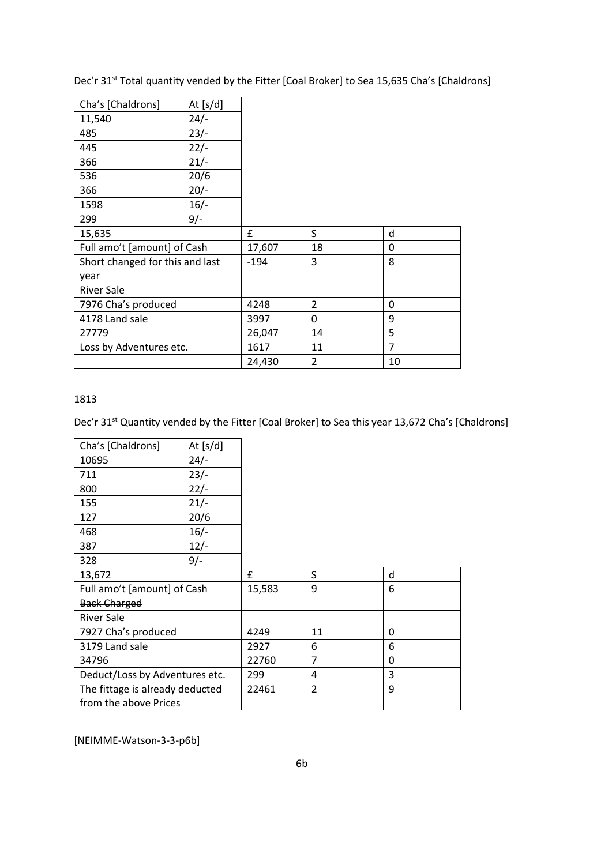Dec'r 31<sup>st</sup> Total quantity vended by the Fitter [Coal Broker] to Sea 15,635 Cha's [Chaldrons]

| Cha's [Chaldrons]               | At $[s/d]$ |        |                |              |
|---------------------------------|------------|--------|----------------|--------------|
| 11,540                          | $24/-$     |        |                |              |
| 485                             | $23/-$     |        |                |              |
| 445                             | $22/-$     |        |                |              |
| 366                             | $21/-$     |        |                |              |
| 536                             | 20/6       |        |                |              |
| 366                             | $20/-$     |        |                |              |
| 1598                            | $16/-$     |        |                |              |
| 299                             | $9/-$      |        |                |              |
| 15,635                          |            | £      | S              | d            |
| Full amo't [amount] of Cash     |            | 17,607 | 18             | $\mathbf{0}$ |
| Short changed for this and last |            | $-194$ | 3              | 8            |
| year                            |            |        |                |              |
| <b>River Sale</b>               |            |        |                |              |
| 7976 Cha's produced             |            | 4248   | $\overline{2}$ | 0            |
| 4178 Land sale                  |            | 3997   | 0              | 9            |
| 27779                           |            | 26,047 | 14             | 5            |
| Loss by Adventures etc.         |            | 1617   | 11             | 7            |
|                                 |            | 24,430 | $\overline{2}$ | 10           |

# 1813

Dec'r 31<sup>st</sup> Quantity vended by the Fitter [Coal Broker] to Sea this year 13,672 Cha's [Chaldrons]

| Cha's [Chaldrons]               | At $[s/d]$ |        |                |   |
|---------------------------------|------------|--------|----------------|---|
| 10695                           | $24/-$     |        |                |   |
| 711                             | $23/-$     |        |                |   |
| 800                             | $22/-$     |        |                |   |
| 155                             | $21/-$     |        |                |   |
| 127                             | 20/6       |        |                |   |
| 468                             | $16/-$     |        |                |   |
| 387                             | $12/-$     |        |                |   |
| 328                             | $9/-$      |        |                |   |
| 13,672                          |            | £      | S              | d |
| Full amo't [amount] of Cash     |            | 15,583 | 9              | 6 |
| <b>Back Charged</b>             |            |        |                |   |
| <b>River Sale</b>               |            |        |                |   |
| 7927 Cha's produced             |            | 4249   | 11             | 0 |
| 3179 Land sale                  |            | 2927   | 6              | 6 |
| 34796                           |            | 22760  | 7              | 0 |
| Deduct/Loss by Adventures etc.  |            | 299    | 4              | 3 |
| The fittage is already deducted |            | 22461  | $\overline{2}$ | 9 |
| from the above Prices           |            |        |                |   |

[NEIMME-Watson-3-3-p6b]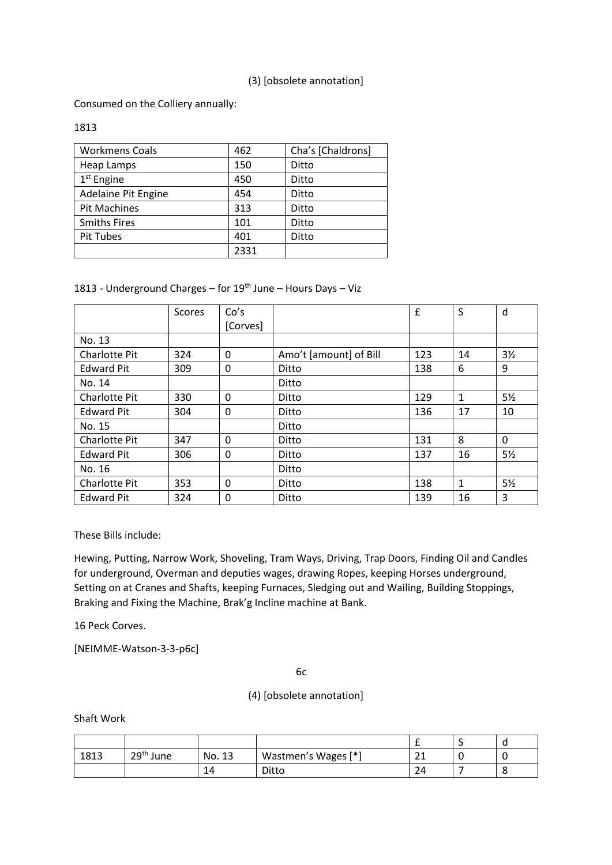# (3) [obsolete annotation]

Consumed on the Colliery annually:

## 1813

| <b>Workmens Coals</b> | 462  | Cha's [Chaldrons] |
|-----------------------|------|-------------------|
| Heap Lamps            | 150  | Ditto             |
| $1st$ Engine          | 450  | Ditto             |
| Adelaine Pit Engine   | 454  | Ditto             |
| <b>Pit Machines</b>   | 313  | Ditto             |
| <b>Smiths Fires</b>   | 101  | Ditto             |
| <b>Pit Tubes</b>      | 401  | Ditto             |
|                       | 2331 |                   |

# 1813 - Underground Charges – for 19th June – Hours Days – Viz

|                      | Scores | Co's<br>[Corves] |                        | £   | S            | d              |
|----------------------|--------|------------------|------------------------|-----|--------------|----------------|
| No. 13               |        |                  |                        |     |              |                |
| Charlotte Pit        | 324    | 0                | Amo't [amount] of Bill | 123 | 14           | $3\frac{1}{2}$ |
| <b>Edward Pit</b>    | 309    | 0                | Ditto                  | 138 | 6            | 9              |
| No. 14               |        |                  | Ditto                  |     |              |                |
| Charlotte Pit        | 330    | 0                | Ditto                  | 129 | $\mathbf{1}$ | $5\frac{1}{2}$ |
| <b>Edward Pit</b>    | 304    | 0                | Ditto                  | 136 | 17           | 10             |
| No. 15               |        |                  | Ditto                  |     |              |                |
| <b>Charlotte Pit</b> | 347    | 0                | Ditto                  | 131 | 8            | 0              |
| <b>Edward Pit</b>    | 306    | 0                | Ditto                  | 137 | 16           | $5\frac{1}{2}$ |
| No. 16               |        |                  | Ditto                  |     |              |                |
| <b>Charlotte Pit</b> | 353    | $\Omega$         | Ditto                  | 138 | 1            | $5\frac{1}{2}$ |
| <b>Edward Pit</b>    | 324    | 0                | Ditto                  | 139 | 16           | 3              |

These Bills include:

Hewing, Putting, Narrow Work, Shoveling, Tram Ways, Driving, Trap Doors, Finding Oil and Candles for underground, Overman and deputies wages, drawing Ropes, keeping Horses underground, Setting on at Cranes and Shafts, keeping Furnaces, Sledging out and Wailing, Building Stoppings, Braking and Fixing the Machine, Brak'g Incline machine at Bank.

16 Peck Corves.

[NEIMME-Watson-3-3-p6c]

6c

(4) [obsolete annotation]

Shaft Work

|      |                       |        |                     |              | ۰ | ч |
|------|-----------------------|--------|---------------------|--------------|---|---|
| 1813 | 29 <sup>th</sup> June | No. 13 | Wastmen's Wages [*] | $\sim$<br>ᅩᅩ |   |   |
|      |                       | 14     | Ditto               | ⌒<br>24      |   |   |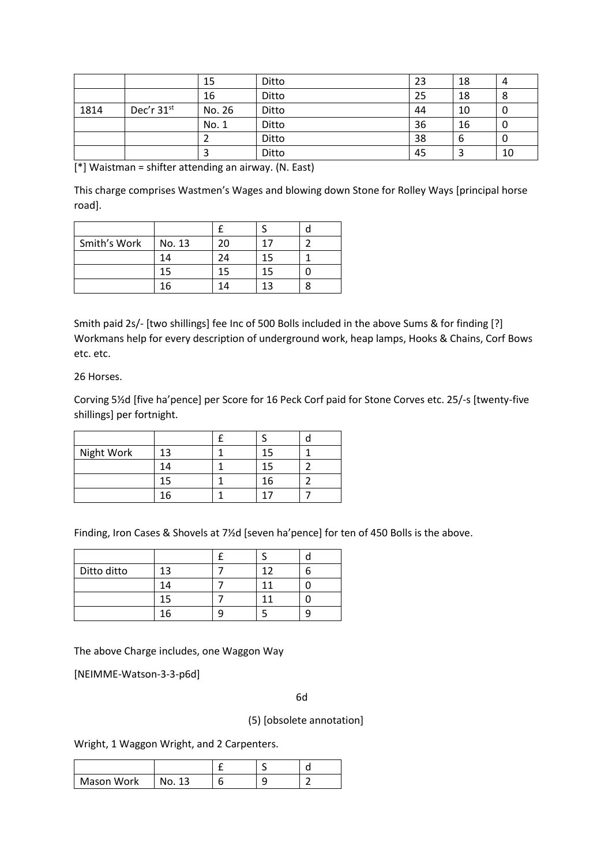|      |            | 15     | Ditto | 23 | 18 | 4  |
|------|------------|--------|-------|----|----|----|
|      |            | 16     | Ditto | 25 | 18 | 8  |
| 1814 | Dec'r 31st | No. 26 | Ditto | 44 | 10 | υ  |
|      |            | No. 1  | Ditto | 36 | 16 | U  |
|      |            |        | Ditto | 38 | 6  | U  |
|      |            |        | Ditto | 45 | з  | 10 |

[\*] Waistman = shifter attending an airway. (N. East)

This charge comprises Wastmen's Wages and blowing down Stone for Rolley Ways [principal horse road].

| Smith's Work | No. 13 | 20 | 17 |  |
|--------------|--------|----|----|--|
|              | 14     | 24 | 15 |  |
|              | 15     | 15 | 15 |  |
|              | 16     | 14 | 13 |  |

Smith paid 2s/- [two shillings] fee Inc of 500 Bolls included in the above Sums & for finding [?] Workmans help for every description of underground work, heap lamps, Hooks & Chains, Corf Bows etc. etc.

# 26 Horses.

Corving 5½d [five ha'pence] per Score for 16 Peck Corf paid for Stone Corves etc. 25/-s [twenty-five shillings] per fortnight.

| Night Work | 13 |    |  |
|------------|----|----|--|
|            | 14 |    |  |
|            | 15 | 16 |  |
|            | 16 |    |  |

Finding, Iron Cases & Shovels at 7½d [seven ha'pence] for ten of 450 Bolls is the above.

| Ditto ditto | $13 -$ |  |  |
|-------------|--------|--|--|
|             | 14     |  |  |
|             |        |  |  |
|             | r      |  |  |

The above Charge includes, one Waggon Way

[NEIMME-Watson-3-3-p6d]

6d

(5) [obsolete annotation]

Wright, 1 Waggon Wright, and 2 Carpenters.

| Mason Work | NO. |  |  |
|------------|-----|--|--|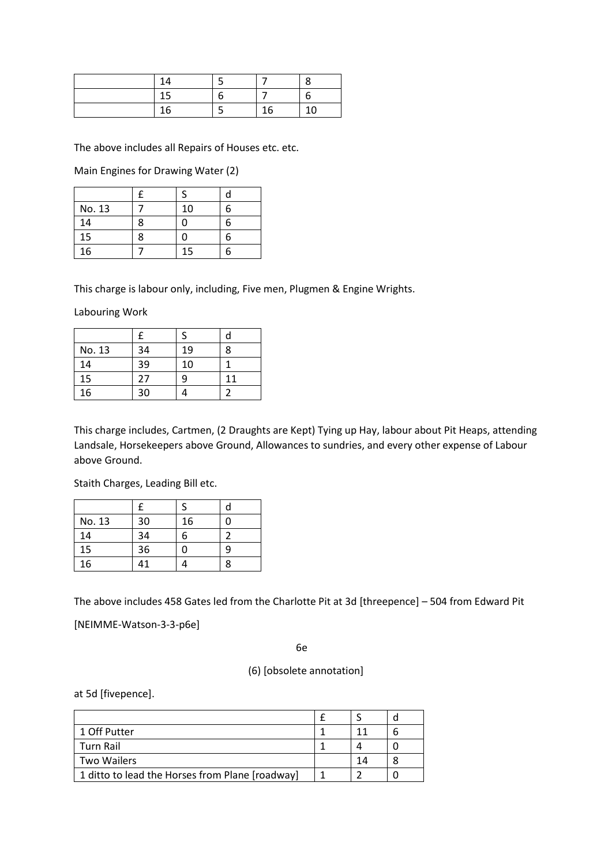| 14 |   |    | Ω  |
|----|---|----|----|
| 15 | n |    | n  |
| 16 |   | 16 | 10 |

The above includes all Repairs of Houses etc. etc.

Main Engines for Drawing Water (2)

| No. 13 |   | 10 | հ |
|--------|---|----|---|
| 14     | ጻ | 0  | հ |
| 15     | 8 | 0  | հ |
| 16     |   | 15 | h |

This charge is labour only, including, Five men, Plugmen & Engine Wrights.

Labouring Work

|        |    |    | d |
|--------|----|----|---|
| No. 13 | 34 | 19 | 8 |
| 14     | 39 | 10 |   |
| 15     | 27 | 9  |   |
| 16     | 30 |    |   |

This charge includes, Cartmen, (2 Draughts are Kept) Tying up Hay, labour about Pit Heaps, attending Landsale, Horsekeepers above Ground, Allowances to sundries, and every other expense of Labour above Ground.

Staith Charges, Leading Bill etc.

| No. 13 | 30 | 16 |   |
|--------|----|----|---|
| 14     | 34 | 6  |   |
| 15     | 36 | U  | q |
| 16     | 41 |    | 8 |

The above includes 458 Gates led from the Charlotte Pit at 3d [threepence] – 504 from Edward Pit

[NEIMME-Watson-3-3-p6e]

6e

(6) [obsolete annotation]

at 5d [fivepence].

| 1 Off Putter                                    |    |  |
|-------------------------------------------------|----|--|
| Turn Rail                                       |    |  |
| <b>Two Wailers</b>                              | 14 |  |
| 1 ditto to lead the Horses from Plane [roadway] |    |  |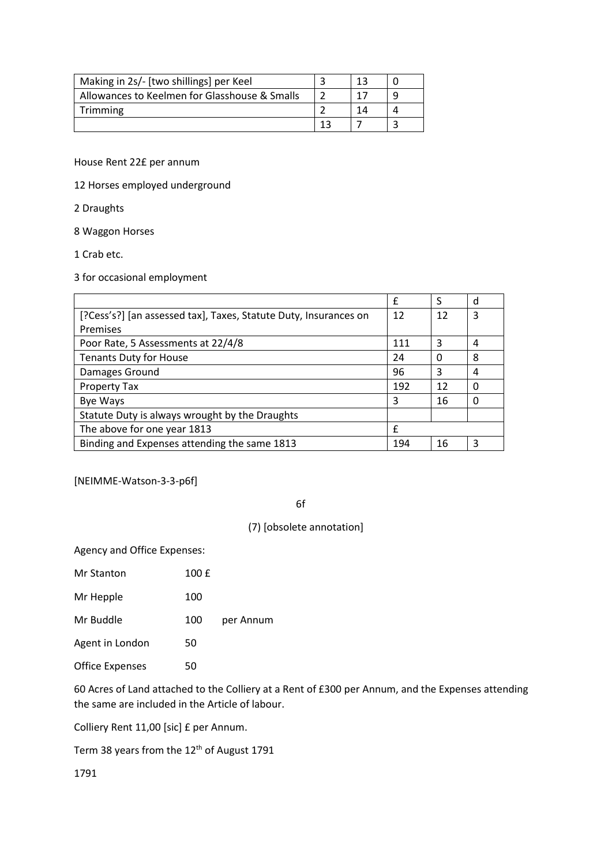| Making in 2s/- [two shillings] per Keel       | າລ |  |
|-----------------------------------------------|----|--|
| Allowances to Keelmen for Glasshouse & Smalls |    |  |
| Trimming                                      |    |  |
|                                               |    |  |

House Rent 22£ per annum

12 Horses employed underground

2 Draughts

8 Waggon Horses

1 Crab etc.

3 for occasional employment

|                                                                  | f   | S  | d |
|------------------------------------------------------------------|-----|----|---|
| [?Cess's?] [an assessed tax], Taxes, Statute Duty, Insurances on | 12  | 12 | 3 |
| Premises                                                         |     |    |   |
| Poor Rate, 5 Assessments at 22/4/8                               | 111 | 3  | 4 |
| <b>Tenants Duty for House</b>                                    | 24  | 0  | 8 |
| Damages Ground                                                   | 96  | 3  | 4 |
| Property Tax                                                     | 192 | 12 | ∩ |
| <b>Bye Ways</b>                                                  | 3   | 16 |   |
| Statute Duty is always wrought by the Draughts                   |     |    |   |
| The above for one year 1813                                      | f   |    |   |
| Binding and Expenses attending the same 1813                     | 194 | 16 | 3 |

[NEIMME-Watson-3-3-p6f]

6f

(7) [obsolete annotation]

Agency and Office Expenses:

| Mr Stanton             | 100 £ |           |
|------------------------|-------|-----------|
| Mr Hepple              | 100   |           |
| Mr Buddle              | 100   | per Annum |
| Agent in London        | 50    |           |
| <b>Office Expenses</b> | 50    |           |

60 Acres of Land attached to the Colliery at a Rent of £300 per Annum, and the Expenses attending the same are included in the Article of labour.

Colliery Rent 11,00 [sic] £ per Annum.

Term 38 years from the 12<sup>th</sup> of August 1791

1791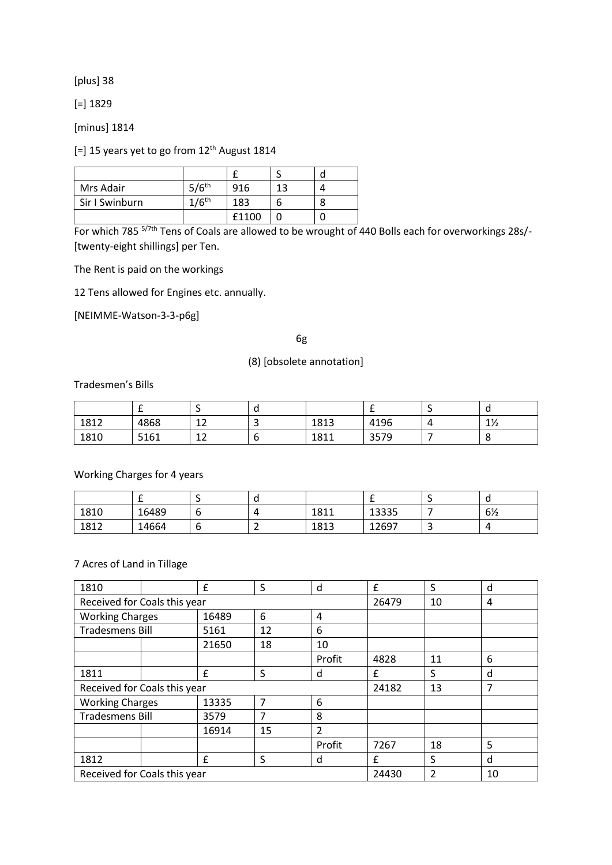[plus] 38

[=] 1829

[minus] 1814

[=] 15 years yet to go from 12<sup>th</sup> August 1814

| Mrs Adair      | $5/6$ <sup>th</sup> | 916   | 12 |  |
|----------------|---------------------|-------|----|--|
| Sir I Swinburn | $1/6$ <sup>th</sup> | 183   |    |  |
|                |                     | £1100 |    |  |

For which 785<sup>5/7th</sup> Tens of Coals are allowed to be wrought of 440 Bolls each for overworkings 28s/-[twenty-eight shillings] per Ten.

The Rent is paid on the workings

12 Tens allowed for Engines etc. annually.

[NEIMME-Watson-3-3-p6g]

6g

## (8) [obsolete annotation]

Tradesmen's Bills

|      |      | $\overline{\phantom{0}}$ |      | . .  | ັບ             |
|------|------|--------------------------|------|------|----------------|
| 1812 | 4868 | 12<br>∸                  | 1813 | 4196 | $1\frac{1}{2}$ |
| 1810 | 5161 | 12<br>ᅩ                  | 1811 | 3579 | $\circ$        |

Working Charges for 4 years

|      |       |   |      |       | ັບ             |
|------|-------|---|------|-------|----------------|
| 1810 | 16489 | u | 1811 | 13335 | $6\frac{1}{2}$ |
| 1812 | 14664 | u | 1813 | 12697 | $\overline{a}$ |

#### 7 Acres of Land in Tillage

| 1810                         |  | £     | S  | d      | £     | S              | d  |
|------------------------------|--|-------|----|--------|-------|----------------|----|
| Received for Coals this year |  |       |    |        | 26479 | 10             | 4  |
| <b>Working Charges</b>       |  | 16489 | 6  | 4      |       |                |    |
| Tradesmens Bill              |  | 5161  | 12 | 6      |       |                |    |
|                              |  | 21650 | 18 | 10     |       |                |    |
|                              |  |       |    | Profit | 4828  | 11             | 6  |
| 1811                         |  | £     | S  | d      | £     | S              | d  |
| Received for Coals this year |  |       |    |        | 24182 | 13             | 7  |
| <b>Working Charges</b>       |  | 13335 | 7  | 6      |       |                |    |
| <b>Tradesmens Bill</b>       |  | 3579  | 7  | 8      |       |                |    |
|                              |  | 16914 | 15 | 2      |       |                |    |
|                              |  |       |    | Profit | 7267  | 18             | 5  |
| 1812                         |  | £     | S  | d      | f     | S              | d  |
| Received for Coals this year |  |       |    |        | 24430 | $\overline{2}$ | 10 |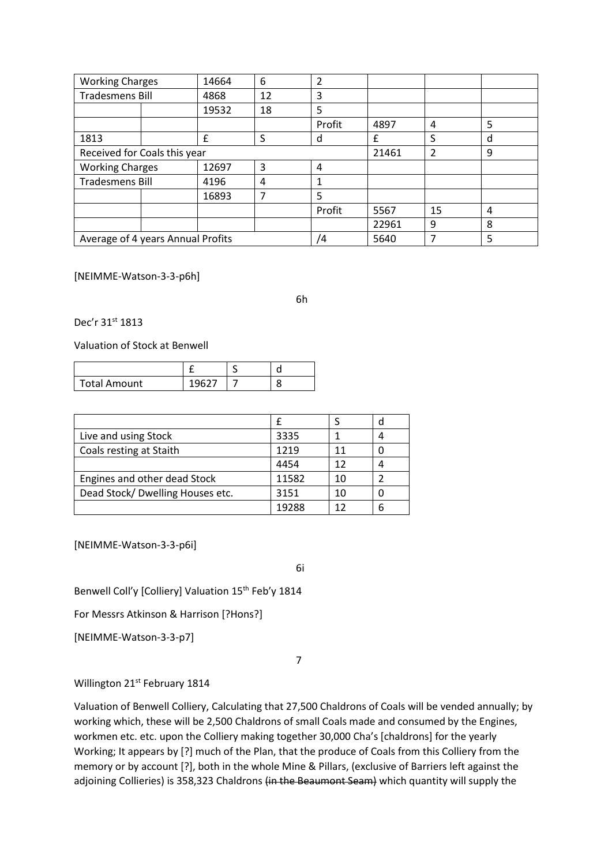| <b>Working Charges</b>            |  | 14664 | 6  | 2      |       |    |   |
|-----------------------------------|--|-------|----|--------|-------|----|---|
| <b>Tradesmens Bill</b>            |  | 4868  | 12 | 3      |       |    |   |
|                                   |  | 19532 | 18 | 5      |       |    |   |
|                                   |  |       |    | Profit | 4897  | 4  | 5 |
| 1813                              |  | f     | S  | d      | f     | S  | d |
| Received for Coals this year      |  |       |    |        | 21461 | 2  | 9 |
| <b>Working Charges</b>            |  | 12697 | 3  | 4      |       |    |   |
| <b>Tradesmens Bill</b>            |  | 4196  | 4  | 1      |       |    |   |
|                                   |  | 16893 | 7  | 5      |       |    |   |
|                                   |  |       |    | Profit | 5567  | 15 | 4 |
|                                   |  |       |    |        | 22961 | 9  | 8 |
| Average of 4 years Annual Profits |  |       | /4 | 5640   |       | 5  |   |

[NEIMME-Watson-3-3-p6h]

6h

Dec'r 31st 1813

Valuation of Stock at Benwell

| <b>Total Amount</b> |  |  |
|---------------------|--|--|

|                                  |       |     | c |
|----------------------------------|-------|-----|---|
| Live and using Stock             | 3335  |     |   |
| Coals resting at Staith          | 1219  | 11  |   |
|                                  | 4454  | 12  |   |
| Engines and other dead Stock     | 11582 | 10  |   |
| Dead Stock/ Dwelling Houses etc. | 3151  | 10  |   |
|                                  | 19288 | 1 7 |   |

[NEIMME-Watson-3-3-p6i]

6i

Benwell Coll'y [Colliery] Valuation 15<sup>th</sup> Feb'y 1814

For Messrs Atkinson & Harrison [?Hons?]

[NEIMME-Watson-3-3-p7]

7

Willington 21<sup>st</sup> February 1814

Valuation of Benwell Colliery, Calculating that 27,500 Chaldrons of Coals will be vended annually; by working which, these will be 2,500 Chaldrons of small Coals made and consumed by the Engines, workmen etc. etc. upon the Colliery making together 30,000 Cha's [chaldrons] for the yearly Working; It appears by [?] much of the Plan, that the produce of Coals from this Colliery from the memory or by account [?], both in the whole Mine & Pillars, (exclusive of Barriers left against the adjoining Collieries) is 358,323 Chaldrons (in the Beaumont Seam) which quantity will supply the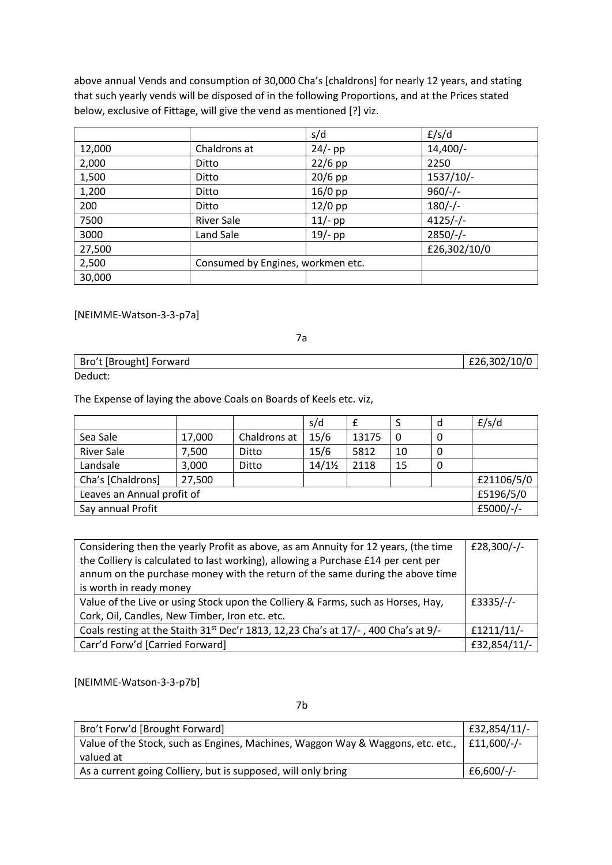above annual Vends and consumption of 30,000 Cha's [chaldrons] for nearly 12 years, and stating that such yearly vends will be disposed of in the following Proportions, and at the Prices stated below, exclusive of Fittage, will give the vend as mentioned [?] viz.

|        |                                   | s/d       | f/s/d        |
|--------|-----------------------------------|-----------|--------------|
| 12,000 | Chaldrons at                      | $24/-$ pp | $14,400/-$   |
| 2,000  | Ditto                             | $22/6$ pp | 2250         |
| 1,500  | Ditto                             | $20/6$ pp | 1537/10/-    |
| 1,200  | Ditto                             | $16/0$ pp | $960/-$      |
| 200    | Ditto                             | $12/0$ pp | $180/-$      |
| 7500   | <b>River Sale</b>                 | $11/-$ pp | $4125/-/$    |
| 3000   | Land Sale                         | $19/-$ pp | $2850/-/$    |
| 27,500 |                                   |           | £26,302/10/0 |
| 2,500  | Consumed by Engines, workmen etc. |           |              |
| 30,000 |                                   |           |              |

[NEIMME-Watson-3-3-p7a]

7a

| Bro't [Brought] Forward | £26,302/10/0 |
|-------------------------|--------------|
| Deduct:                 |              |

The Expense of laying the above Coals on Boards of Keels etc. viz,

|                                |        |              | s/d               |       |           | d | f/s/d      |
|--------------------------------|--------|--------------|-------------------|-------|-----------|---|------------|
| Sea Sale                       | 17,000 | Chaldrons at | 15/6              | 13175 | 0         | 0 |            |
| <b>River Sale</b>              | 7,500  | Ditto        | 15/6              | 5812  | 10        | 0 |            |
| Landsale                       | 3,000  | Ditto        | $14/1\frac{1}{2}$ | 2118  | 15        | 0 |            |
| Cha's [Chaldrons]              | 27,500 |              |                   |       |           |   | £21106/5/0 |
| Leaves an Annual profit of     |        |              |                   |       | £5196/5/0 |   |            |
| £5000/-/-<br>Say annual Profit |        |              |                   |       |           |   |            |

| Considering then the yearly Profit as above, as am Annuity for 12 years, (the time             | £28,300/-/-  |
|------------------------------------------------------------------------------------------------|--------------|
| the Colliery is calculated to last working), allowing a Purchase £14 per cent per              |              |
| annum on the purchase money with the return of the same during the above time                  |              |
| is worth in ready money                                                                        |              |
| Value of the Live or using Stock upon the Colliery & Farms, such as Horses, Hay,               | £3335/-/-    |
| Cork, Oil, Candles, New Timber, Iron etc. etc.                                                 |              |
| Coals resting at the Staith 31 <sup>st</sup> Dec'r 1813, 12,23 Cha's at 17/-, 400 Cha's at 9/- | $f1211/11/-$ |
| Carr'd Forw'd [Carried Forward]                                                                | £32,854/11/- |

[NEIMME-Watson-3-3-p7b]

7b

| Bro't Forw'd [Brought Forward]                                                  | £32,854/11/- |
|---------------------------------------------------------------------------------|--------------|
| Value of the Stock, such as Engines, Machines, Waggon Way & Waggons, etc. etc., | $E11.600/-$  |
| valued at                                                                       |              |
| As a current going Colliery, but is supposed, will only bring                   | $E6,600/-$   |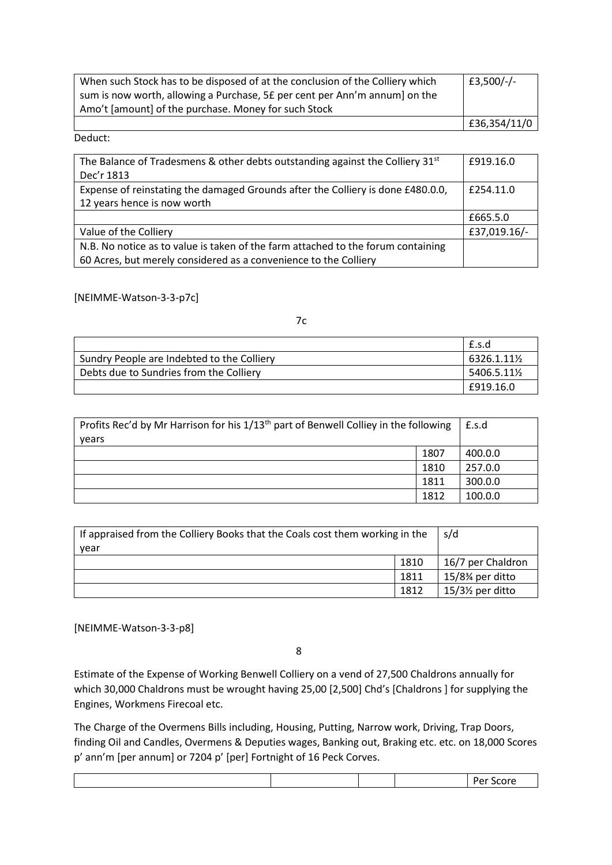| When such Stock has to be disposed of at the conclusion of the Colliery which | £3,500/-/-   |
|-------------------------------------------------------------------------------|--------------|
| sum is now worth, allowing a Purchase, 5£ per cent per Ann'm annum] on the    |              |
| Amo't [amount] of the purchase. Money for such Stock                          |              |
|                                                                               | £36,354/11/0 |

Deduct:

| The Balance of Tradesmens & other debts outstanding against the Colliery $31st$<br>Dec'r 1813                                                        | £919.16.0    |
|------------------------------------------------------------------------------------------------------------------------------------------------------|--------------|
| Expense of reinstating the damaged Grounds after the Colliery is done £480.0.0,<br>12 years hence is now worth                                       | £254.11.0    |
|                                                                                                                                                      | £665.5.0     |
| Value of the Colliery                                                                                                                                | £37,019.16/- |
| N.B. No notice as to value is taken of the farm attached to the forum containing<br>60 Acres, but merely considered as a convenience to the Colliery |              |

[NEIMME-Watson-3-3-p7c]

|                                            | £.s.d      |
|--------------------------------------------|------------|
| Sundry People are Indebted to the Colliery | 6326.1.11½ |
| Debts due to Sundries from the Colliery    | 5406.5.11½ |
|                                            | £919.16.0  |

7c

| Profits Rec'd by Mr Harrison for his 1/13 <sup>th</sup> part of Benwell Colliey in the following<br>years | £.s.d |         |
|-----------------------------------------------------------------------------------------------------------|-------|---------|
|                                                                                                           | 1807  | 400.0.0 |
|                                                                                                           | 1810  | 257.0.0 |
|                                                                                                           | 1811  | 300.0.0 |
|                                                                                                           | 1812  | 100.0.0 |

| If appraised from the Colliery Books that the Coals cost them working in the<br>year | s/d                                        |                  |
|--------------------------------------------------------------------------------------|--------------------------------------------|------------------|
|                                                                                      |                                            |                  |
|                                                                                      | 16/7 per Chaldron                          |                  |
|                                                                                      | 15/8 <sup>3</sup> / <sub>4</sub> per ditto |                  |
|                                                                                      | 1812                                       | $15/3$ per ditto |

[NEIMME-Watson-3-3-p8]

8

Estimate of the Expense of Working Benwell Colliery on a vend of 27,500 Chaldrons annually for which 30,000 Chaldrons must be wrought having 25,00 [2,500] Chd's [Chaldrons ] for supplying the Engines, Workmens Firecoal etc.

The Charge of the Overmens Bills including, Housing, Putting, Narrow work, Driving, Trap Doors, finding Oil and Candles, Overmens & Deputies wages, Banking out, Braking etc. etc. on 18,000 Scores p' ann'm [per annum] or 7204 p' [per] Fortnight of 16 Peck Corves.

|--|--|--|--|--|--|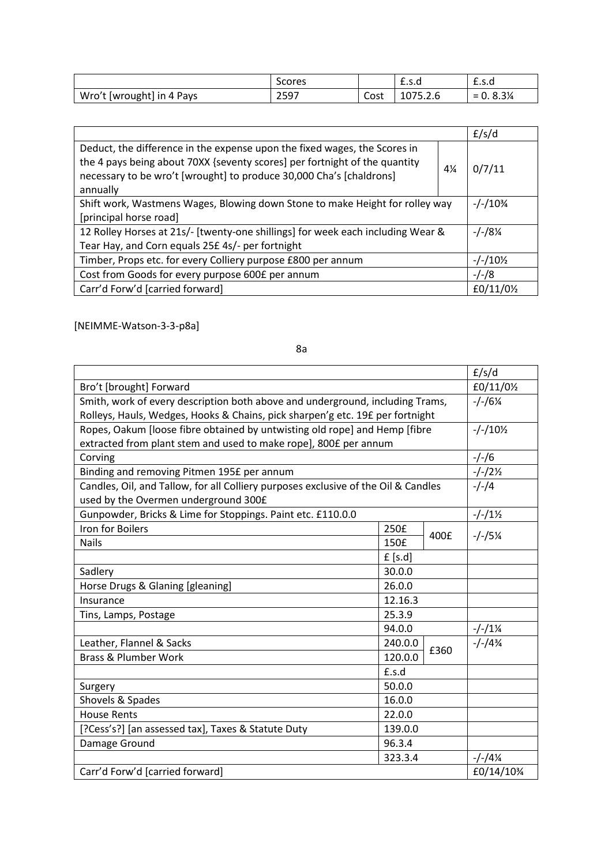|                           | Scores |      | <u>L.J.u</u> | ⊥.ง.น                                                              |
|---------------------------|--------|------|--------------|--------------------------------------------------------------------|
| Wro't [wrought] in 4 Pays | 2597   | Cost | 1075.2.6     | 8.3%<br>$\overline{\phantom{0}}$<br>$\overline{\phantom{0}}$<br>υ. |

|                                                                                                                                                                                                                                                              |                     | f/s/d                 |
|--------------------------------------------------------------------------------------------------------------------------------------------------------------------------------------------------------------------------------------------------------------|---------------------|-----------------------|
| Deduct, the difference in the expense upon the fixed wages, the Scores in<br>the 4 pays being about 70XX {seventy scores] per fortnight of the quantity<br>$4\frac{1}{4}$<br>necessary to be wro't [wrought] to produce 30,000 Cha's [chaldrons]<br>annually |                     | 0/7/11                |
| Shift work, Wastmens Wages, Blowing down Stone to make Height for rolley way                                                                                                                                                                                 |                     |                       |
| [principal horse road]                                                                                                                                                                                                                                       |                     |                       |
| 12 Rolley Horses at 21s/- [twenty-one shillings] for week each including Wear &                                                                                                                                                                              |                     |                       |
| Tear Hay, and Corn equals 25£ 4s/- per fortnight                                                                                                                                                                                                             |                     |                       |
| Timber, Props etc. for every Colliery purpose £800 per annum                                                                                                                                                                                                 | $-/-/10\frac{1}{2}$ |                       |
| Cost from Goods for every purpose 600£ per annum                                                                                                                                                                                                             |                     |                       |
| Carr'd Forw'd [carried forward]                                                                                                                                                                                                                              |                     | £0/11/0 $\frac{1}{2}$ |

[NEIMME-Watson-3-3-p8a]

|                                                                                    |         | f/s/d              |                     |
|------------------------------------------------------------------------------------|---------|--------------------|---------------------|
| Bro't [brought] Forward                                                            |         | £0/11/01/2         |                     |
| Smith, work of every description both above and underground, including Trams,      |         | $-/-/6\frac{1}{4}$ |                     |
| Rolleys, Hauls, Wedges, Hooks & Chains, pick sharpen'g etc. 19£ per fortnight      |         |                    |                     |
| Ropes, Oakum [loose fibre obtained by untwisting old rope] and Hemp [fibre         |         |                    | $-/-/10\frac{1}{2}$ |
| extracted from plant stem and used to make rope], 800£ per annum                   |         |                    |                     |
| Corving                                                                            |         |                    | $-/-/6$             |
| Binding and removing Pitmen 195£ per annum                                         |         |                    | $-/-/2\frac{1}{2}$  |
| Candles, Oil, and Tallow, for all Colliery purposes exclusive of the Oil & Candles |         |                    | $-/-/4$             |
| used by the Overmen underground 300£                                               |         |                    |                     |
| Gunpowder, Bricks & Lime for Stoppings. Paint etc. £110.0.0                        |         |                    | $-/-/1\frac{1}{2}$  |
| <b>Iron for Boilers</b>                                                            | 250£    | 400£               | $-/-/5%$            |
| <b>Nails</b>                                                                       | 150£    |                    |                     |
|                                                                                    | f[s.d]  |                    |                     |
| Sadlery                                                                            | 30.0.0  |                    |                     |
| Horse Drugs & Glaning [gleaning]                                                   | 26.0.0  |                    |                     |
| Insurance                                                                          | 12.16.3 |                    |                     |
| Tins, Lamps, Postage                                                               | 25.3.9  |                    |                     |
|                                                                                    | 94.0.0  |                    | $-/-/1\frac{1}{4}$  |
| Leather, Flannel & Sacks                                                           | 240.0.0 | £360               | $-/-/4%$            |
| <b>Brass &amp; Plumber Work</b>                                                    | 120.0.0 |                    |                     |
|                                                                                    | £.s.d   |                    |                     |
| Surgery                                                                            | 50.0.0  |                    |                     |
| Shovels & Spades                                                                   | 16.0.0  |                    |                     |
| <b>House Rents</b>                                                                 | 22.0.0  |                    |                     |
| [?Cess's?] [an assessed tax], Taxes & Statute Duty<br>139.0.0                      |         |                    |                     |
| Damage Ground                                                                      | 96.3.4  |                    |                     |
|                                                                                    | 323.3.4 |                    | $-/-/4\frac{1}{4}$  |
| Carr'd Forw'd [carried forward]                                                    |         |                    | £0/14/10¾           |

8a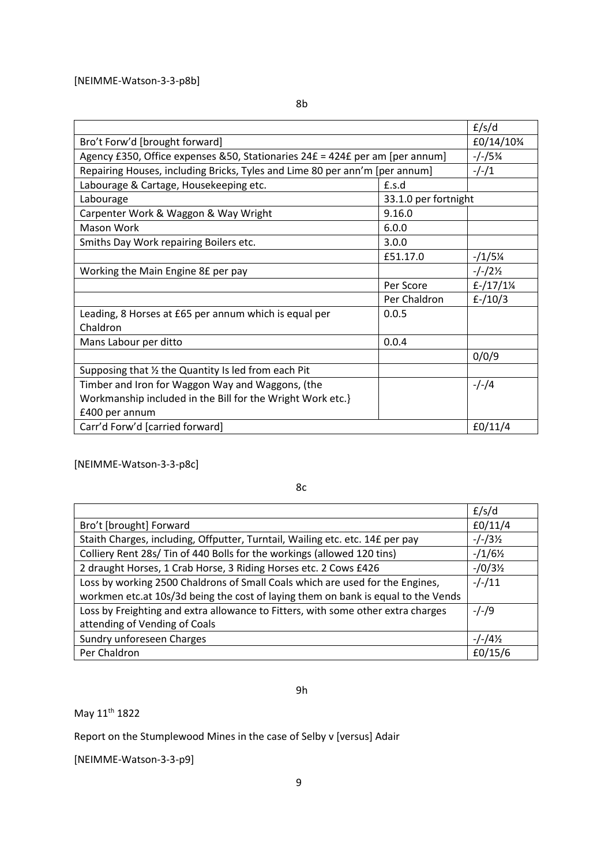|                                                                               |                      | f/s/d                |
|-------------------------------------------------------------------------------|----------------------|----------------------|
| Bro't Forw'd [brought forward]                                                | £0/14/10%            |                      |
| Agency £350, Office expenses & 50, Stationaries 24£ = 424£ per am [per annum] |                      | $-/-/5%$             |
| Repairing Houses, including Bricks, Tyles and Lime 80 per ann'm [per annum]   |                      | $-/-/1$              |
| Labourage & Cartage, Housekeeping etc.                                        | f.s.d                |                      |
| Labourage                                                                     | 33.1.0 per fortnight |                      |
| Carpenter Work & Waggon & Way Wright                                          | 9.16.0               |                      |
| Mason Work                                                                    | 6.0.0                |                      |
| Smiths Day Work repairing Boilers etc.                                        | 3.0.0                |                      |
|                                                                               | £51.17.0             | $-1/5\%$             |
| Working the Main Engine 8£ per pay                                            |                      | $-/-/2\frac{1}{2}$   |
|                                                                               | Per Score            | $f - \frac{17}{1\%}$ |
|                                                                               | Per Chaldron         | $f - / 10/3$         |
| Leading, 8 Horses at £65 per annum which is equal per                         | 0.0.5                |                      |
| Chaldron                                                                      |                      |                      |
| Mans Labour per ditto                                                         | 0.0.4                |                      |
|                                                                               |                      | 0/0/9                |
| Supposing that 1/2 the Quantity Is led from each Pit                          |                      |                      |
| Timber and Iron for Waggon Way and Waggons, (the                              |                      | $-/-/4$              |
| Workmanship included in the Bill for the Wright Work etc.}                    |                      |                      |
| £400 per annum                                                                |                      |                      |
| Carr'd Forw'd [carried forward]                                               |                      | f0/11/4              |

[NEIMME-Watson-3-3-p8c]

8c

|                                                                                   | f/s/d              |
|-----------------------------------------------------------------------------------|--------------------|
| Bro't [brought] Forward                                                           | f0/11/4            |
| Staith Charges, including, Offputter, Turntail, Wailing etc. etc. 14£ per pay     | $-/-/3\frac{1}{2}$ |
| Colliery Rent 28s/ Tin of 440 Bolls for the workings (allowed 120 tins)           | $-1/6\frac{1}{2}$  |
| 2 draught Horses, 1 Crab Horse, 3 Riding Horses etc. 2 Cows £426                  | $-10/3\frac{1}{2}$ |
| Loss by working 2500 Chaldrons of Small Coals which are used for the Engines,     | $-/-/11$           |
| workmen etc.at 10s/3d being the cost of laying them on bank is equal to the Vends |                    |
| Loss by Freighting and extra allowance to Fitters, with some other extra charges  | $-/-/9$            |
| attending of Vending of Coals                                                     |                    |
| Sundry unforeseen Charges                                                         | $-/-/4\frac{1}{2}$ |
| Per Chaldron                                                                      | f0/15/6            |

9h

May 11th 1822

Report on the Stumplewood Mines in the case of Selby v [versus] Adair

[NEIMME-Watson-3-3-p9]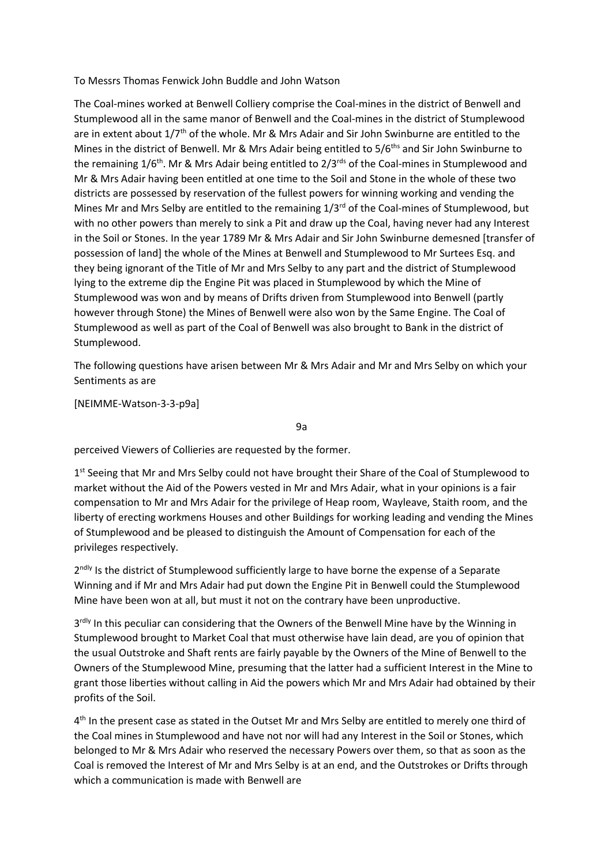To Messrs Thomas Fenwick John Buddle and John Watson

The Coal-mines worked at Benwell Colliery comprise the Coal-mines in the district of Benwell and Stumplewood all in the same manor of Benwell and the Coal-mines in the district of Stumplewood are in extent about 1/7th of the whole. Mr & Mrs Adair and Sir John Swinburne are entitled to the Mines in the district of Benwell. Mr & Mrs Adair being entitled to 5/6<sup>ths</sup> and Sir John Swinburne to the remaining 1/6<sup>th</sup>. Mr & Mrs Adair being entitled to 2/3<sup>rds</sup> of the Coal-mines in Stumplewood and Mr & Mrs Adair having been entitled at one time to the Soil and Stone in the whole of these two districts are possessed by reservation of the fullest powers for winning working and vending the Mines Mr and Mrs Selby are entitled to the remaining 1/3<sup>rd</sup> of the Coal-mines of Stumplewood, but with no other powers than merely to sink a Pit and draw up the Coal, having never had any Interest in the Soil or Stones. In the year 1789 Mr & Mrs Adair and Sir John Swinburne demesned [transfer of possession of land] the whole of the Mines at Benwell and Stumplewood to Mr Surtees Esq. and they being ignorant of the Title of Mr and Mrs Selby to any part and the district of Stumplewood lying to the extreme dip the Engine Pit was placed in Stumplewood by which the Mine of Stumplewood was won and by means of Drifts driven from Stumplewood into Benwell (partly however through Stone) the Mines of Benwell were also won by the Same Engine. The Coal of Stumplewood as well as part of the Coal of Benwell was also brought to Bank in the district of Stumplewood.

The following questions have arisen between Mr & Mrs Adair and Mr and Mrs Selby on which your Sentiments as are

[NEIMME-Watson-3-3-p9a]

9a

perceived Viewers of Collieries are requested by the former.

1<sup>st</sup> Seeing that Mr and Mrs Selby could not have brought their Share of the Coal of Stumplewood to market without the Aid of the Powers vested in Mr and Mrs Adair, what in your opinions is a fair compensation to Mr and Mrs Adair for the privilege of Heap room, Wayleave, Staith room, and the liberty of erecting workmens Houses and other Buildings for working leading and vending the Mines of Stumplewood and be pleased to distinguish the Amount of Compensation for each of the privileges respectively.

2<sup>ndly</sup> Is the district of Stumplewood sufficiently large to have borne the expense of a Separate Winning and if Mr and Mrs Adair had put down the Engine Pit in Benwell could the Stumplewood Mine have been won at all, but must it not on the contrary have been unproductive.

3<sup>rdly</sup> In this peculiar can considering that the Owners of the Benwell Mine have by the Winning in Stumplewood brought to Market Coal that must otherwise have lain dead, are you of opinion that the usual Outstroke and Shaft rents are fairly payable by the Owners of the Mine of Benwell to the Owners of the Stumplewood Mine, presuming that the latter had a sufficient Interest in the Mine to grant those liberties without calling in Aid the powers which Mr and Mrs Adair had obtained by their profits of the Soil.

4<sup>th</sup> In the present case as stated in the Outset Mr and Mrs Selby are entitled to merely one third of the Coal mines in Stumplewood and have not nor will had any Interest in the Soil or Stones, which belonged to Mr & Mrs Adair who reserved the necessary Powers over them, so that as soon as the Coal is removed the Interest of Mr and Mrs Selby is at an end, and the Outstrokes or Drifts through which a communication is made with Benwell are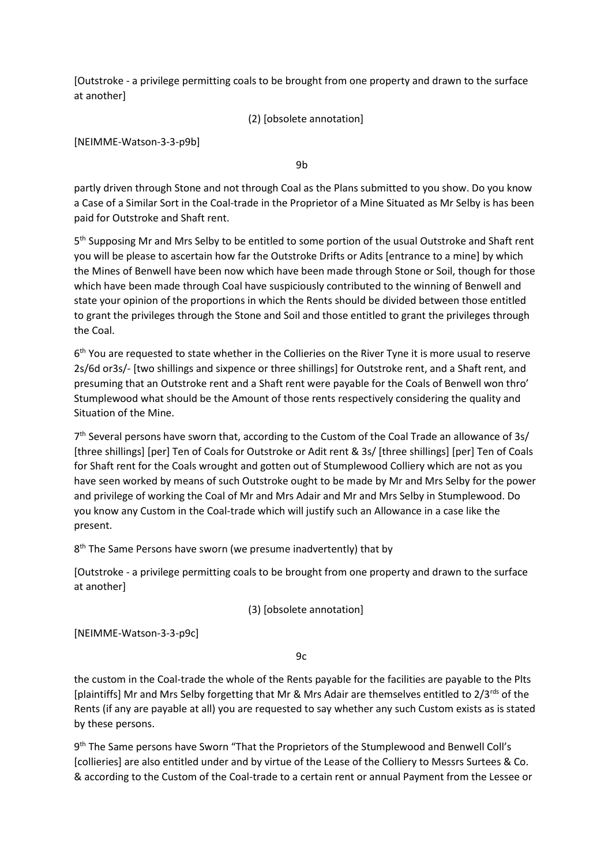[Outstroke - a privilege permitting coals to be brought from one property and drawn to the surface at another]

(2) [obsolete annotation]

[NEIMME-Watson-3-3-p9b]

9b

partly driven through Stone and not through Coal as the Plans submitted to you show. Do you know a Case of a Similar Sort in the Coal-trade in the Proprietor of a Mine Situated as Mr Selby is has been paid for Outstroke and Shaft rent.

5<sup>th</sup> Supposing Mr and Mrs Selby to be entitled to some portion of the usual Outstroke and Shaft rent you will be please to ascertain how far the Outstroke Drifts or Adits [entrance to a mine] by which the Mines of Benwell have been now which have been made through Stone or Soil, though for those which have been made through Coal have suspiciously contributed to the winning of Benwell and state your opinion of the proportions in which the Rents should be divided between those entitled to grant the privileges through the Stone and Soil and those entitled to grant the privileges through the Coal.

6<sup>th</sup> You are requested to state whether in the Collieries on the River Tyne it is more usual to reserve 2s/6d or3s/- [two shillings and sixpence or three shillings] for Outstroke rent, and a Shaft rent, and presuming that an Outstroke rent and a Shaft rent were payable for the Coals of Benwell won thro' Stumplewood what should be the Amount of those rents respectively considering the quality and Situation of the Mine.

7<sup>th</sup> Several persons have sworn that, according to the Custom of the Coal Trade an allowance of 3s/ [three shillings] [per] Ten of Coals for Outstroke or Adit rent & 3s/ [three shillings] [per] Ten of Coals for Shaft rent for the Coals wrought and gotten out of Stumplewood Colliery which are not as you have seen worked by means of such Outstroke ought to be made by Mr and Mrs Selby for the power and privilege of working the Coal of Mr and Mrs Adair and Mr and Mrs Selby in Stumplewood. Do you know any Custom in the Coal-trade which will justify such an Allowance in a case like the present.

8<sup>th</sup> The Same Persons have sworn (we presume inadvertently) that by

[Outstroke - a privilege permitting coals to be brought from one property and drawn to the surface at another]

(3) [obsolete annotation]

[NEIMME-Watson-3-3-p9c]

9c

the custom in the Coal-trade the whole of the Rents payable for the facilities are payable to the Plts [plaintiffs] Mr and Mrs Selby forgetting that Mr & Mrs Adair are themselves entitled to 2/3rds of the Rents (if any are payable at all) you are requested to say whether any such Custom exists as is stated by these persons.

9<sup>th</sup> The Same persons have Sworn "That the Proprietors of the Stumplewood and Benwell Coll's [collieries] are also entitled under and by virtue of the Lease of the Colliery to Messrs Surtees & Co. & according to the Custom of the Coal-trade to a certain rent or annual Payment from the Lessee or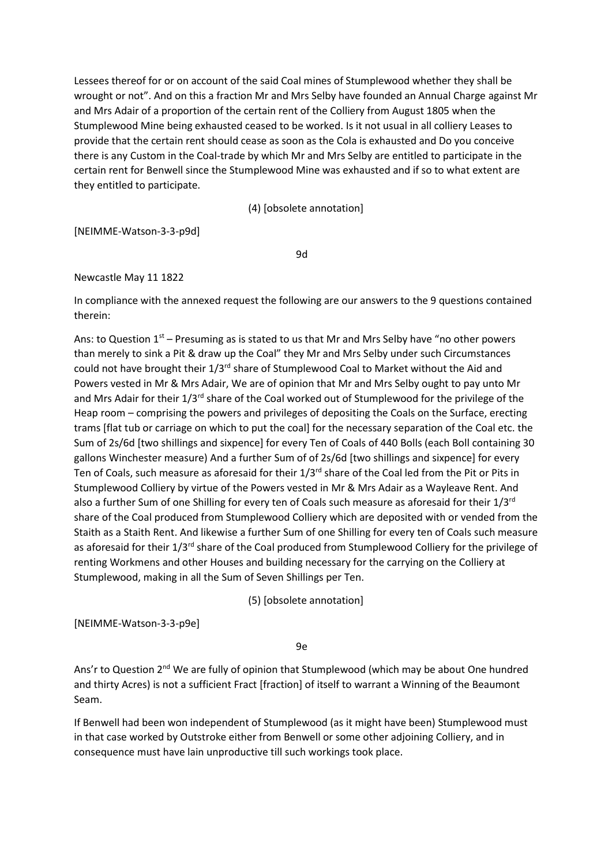Lessees thereof for or on account of the said Coal mines of Stumplewood whether they shall be wrought or not". And on this a fraction Mr and Mrs Selby have founded an Annual Charge against Mr and Mrs Adair of a proportion of the certain rent of the Colliery from August 1805 when the Stumplewood Mine being exhausted ceased to be worked. Is it not usual in all colliery Leases to provide that the certain rent should cease as soon as the Cola is exhausted and Do you conceive there is any Custom in the Coal-trade by which Mr and Mrs Selby are entitled to participate in the certain rent for Benwell since the Stumplewood Mine was exhausted and if so to what extent are they entitled to participate.

(4) [obsolete annotation]

[NEIMME-Watson-3-3-p9d]

9d

# Newcastle May 11 1822

In compliance with the annexed request the following are our answers to the 9 questions contained therein:

Ans: to Question  $1<sup>st</sup>$  – Presuming as is stated to us that Mr and Mrs Selby have "no other powers than merely to sink a Pit & draw up the Coal" they Mr and Mrs Selby under such Circumstances could not have brought their  $1/3^{rd}$  share of Stumplewood Coal to Market without the Aid and Powers vested in Mr & Mrs Adair, We are of opinion that Mr and Mrs Selby ought to pay unto Mr and Mrs Adair for their 1/3<sup>rd</sup> share of the Coal worked out of Stumplewood for the privilege of the Heap room – comprising the powers and privileges of depositing the Coals on the Surface, erecting trams [flat tub or carriage on which to put the coal] for the necessary separation of the Coal etc. the Sum of 2s/6d [two shillings and sixpence] for every Ten of Coals of 440 Bolls (each Boll containing 30 gallons Winchester measure) And a further Sum of of 2s/6d [two shillings and sixpence] for every Ten of Coals, such measure as aforesaid for their 1/3<sup>rd</sup> share of the Coal led from the Pit or Pits in Stumplewood Colliery by virtue of the Powers vested in Mr & Mrs Adair as a Wayleave Rent. And also a further Sum of one Shilling for every ten of Coals such measure as aforesaid for their 1/3<sup>rd</sup> share of the Coal produced from Stumplewood Colliery which are deposited with or vended from the Staith as a Staith Rent. And likewise a further Sum of one Shilling for every ten of Coals such measure as aforesaid for their 1/3<sup>rd</sup> share of the Coal produced from Stumplewood Colliery for the privilege of renting Workmens and other Houses and building necessary for the carrying on the Colliery at Stumplewood, making in all the Sum of Seven Shillings per Ten.

(5) [obsolete annotation]

[NEIMME-Watson-3-3-p9e]

9e

Ans'r to Question  $2^{nd}$  We are fully of opinion that Stumplewood (which may be about One hundred and thirty Acres) is not a sufficient Fract [fraction] of itself to warrant a Winning of the Beaumont Seam.

If Benwell had been won independent of Stumplewood (as it might have been) Stumplewood must in that case worked by Outstroke either from Benwell or some other adjoining Colliery, and in consequence must have lain unproductive till such workings took place.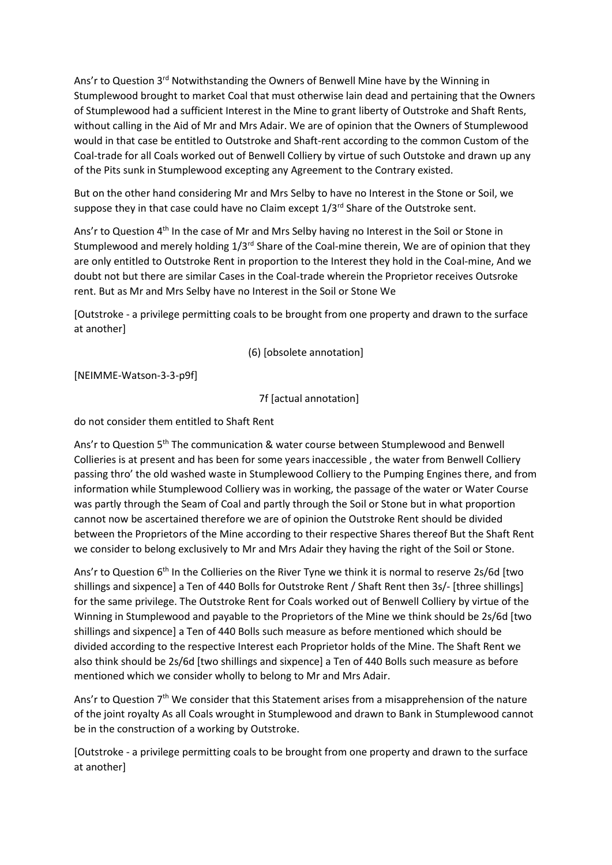Ans'r to Question  $3<sup>rd</sup>$  Notwithstanding the Owners of Benwell Mine have by the Winning in Stumplewood brought to market Coal that must otherwise lain dead and pertaining that the Owners of Stumplewood had a sufficient Interest in the Mine to grant liberty of Outstroke and Shaft Rents, without calling in the Aid of Mr and Mrs Adair. We are of opinion that the Owners of Stumplewood would in that case be entitled to Outstroke and Shaft-rent according to the common Custom of the Coal-trade for all Coals worked out of Benwell Colliery by virtue of such Outstoke and drawn up any of the Pits sunk in Stumplewood excepting any Agreement to the Contrary existed.

But on the other hand considering Mr and Mrs Selby to have no Interest in the Stone or Soil, we suppose they in that case could have no Claim except  $1/3<sup>rd</sup>$  Share of the Outstroke sent.

Ans'r to Question 4<sup>th</sup> In the case of Mr and Mrs Selby having no Interest in the Soil or Stone in Stumplewood and merely holding  $1/3^{rd}$  Share of the Coal-mine therein, We are of opinion that they are only entitled to Outstroke Rent in proportion to the Interest they hold in the Coal-mine, And we doubt not but there are similar Cases in the Coal-trade wherein the Proprietor receives Outsroke rent. But as Mr and Mrs Selby have no Interest in the Soil or Stone We

[Outstroke - a privilege permitting coals to be brought from one property and drawn to the surface at another]

(6) [obsolete annotation]

[NEIMME-Watson-3-3-p9f]

7f [actual annotation]

do not consider them entitled to Shaft Rent

Ans'r to Question 5<sup>th</sup> The communication & water course between Stumplewood and Benwell Collieries is at present and has been for some years inaccessible , the water from Benwell Colliery passing thro' the old washed waste in Stumplewood Colliery to the Pumping Engines there, and from information while Stumplewood Colliery was in working, the passage of the water or Water Course was partly through the Seam of Coal and partly through the Soil or Stone but in what proportion cannot now be ascertained therefore we are of opinion the Outstroke Rent should be divided between the Proprietors of the Mine according to their respective Shares thereof But the Shaft Rent we consider to belong exclusively to Mr and Mrs Adair they having the right of the Soil or Stone.

Ans'r to Question  $6<sup>th</sup>$  In the Collieries on the River Tyne we think it is normal to reserve 2s/6d [two shillings and sixpence] a Ten of 440 Bolls for Outstroke Rent / Shaft Rent then 3s/- [three shillings] for the same privilege. The Outstroke Rent for Coals worked out of Benwell Colliery by virtue of the Winning in Stumplewood and payable to the Proprietors of the Mine we think should be 2s/6d [two shillings and sixpence] a Ten of 440 Bolls such measure as before mentioned which should be divided according to the respective Interest each Proprietor holds of the Mine. The Shaft Rent we also think should be 2s/6d [two shillings and sixpence] a Ten of 440 Bolls such measure as before mentioned which we consider wholly to belong to Mr and Mrs Adair.

Ans'r to Question 7<sup>th</sup> We consider that this Statement arises from a misapprehension of the nature of the joint royalty As all Coals wrought in Stumplewood and drawn to Bank in Stumplewood cannot be in the construction of a working by Outstroke.

[Outstroke - a privilege permitting coals to be brought from one property and drawn to the surface at another]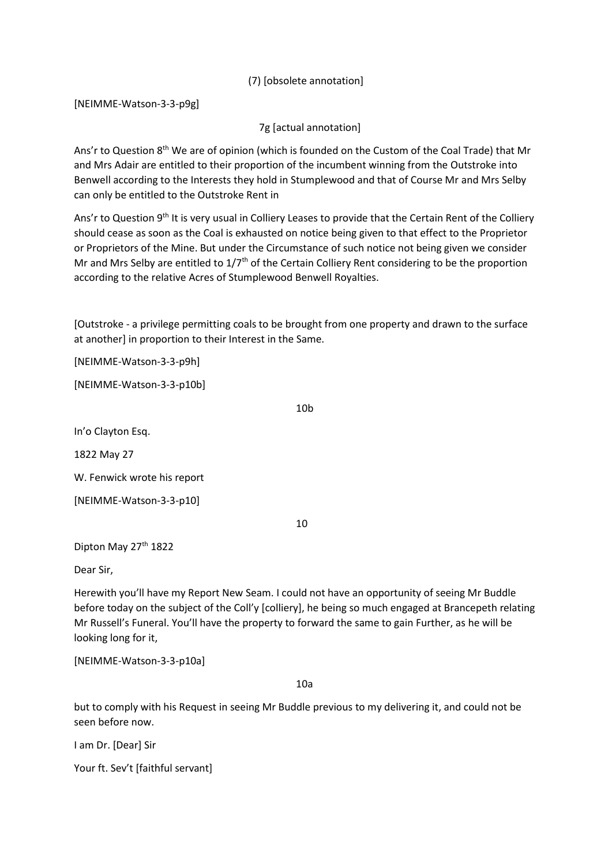(7) [obsolete annotation]

[NEIMME-Watson-3-3-p9g]

7g [actual annotation]

Ans'r to Question  $8<sup>th</sup>$  We are of opinion (which is founded on the Custom of the Coal Trade) that Mr and Mrs Adair are entitled to their proportion of the incumbent winning from the Outstroke into Benwell according to the Interests they hold in Stumplewood and that of Course Mr and Mrs Selby can only be entitled to the Outstroke Rent in

Ans'r to Question 9<sup>th</sup> It is very usual in Colliery Leases to provide that the Certain Rent of the Colliery should cease as soon as the Coal is exhausted on notice being given to that effect to the Proprietor or Proprietors of the Mine. But under the Circumstance of such notice not being given we consider Mr and Mrs Selby are entitled to  $1/7<sup>th</sup>$  of the Certain Colliery Rent considering to be the proportion according to the relative Acres of Stumplewood Benwell Royalties.

[Outstroke - a privilege permitting coals to be brought from one property and drawn to the surface at another] in proportion to their Interest in the Same.

[NEIMME-Watson-3-3-p9h]

[NEIMME-Watson-3-3-p10b]

10b

In'o Clayton Esq.

1822 May 27

W. Fenwick wrote his report

[NEIMME-Watson-3-3-p10]

10

Dipton May 27<sup>th</sup> 1822

Dear Sir,

Herewith you'll have my Report New Seam. I could not have an opportunity of seeing Mr Buddle before today on the subject of the Coll'y [colliery], he being so much engaged at Brancepeth relating Mr Russell's Funeral. You'll have the property to forward the same to gain Further, as he will be looking long for it,

[NEIMME-Watson-3-3-p10a]

10a

but to comply with his Request in seeing Mr Buddle previous to my delivering it, and could not be seen before now.

I am Dr. [Dear] Sir

Your ft. Sev't [faithful servant]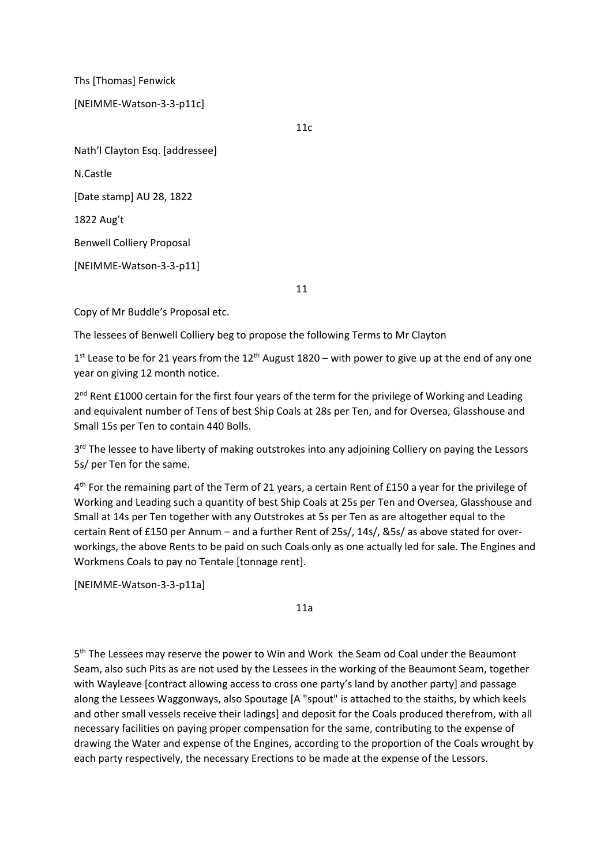Ths [Thomas] Fenwick

# [NEIMME-Watson-3-3-p11c]

11c

Nath'l Clayton Esq. [addressee]

N.Castle

[Date stamp] AU 28, 1822

1822 Aug't

Benwell Colliery Proposal

[NEIMME-Watson-3-3-p11]

11

Copy of Mr Buddle's Proposal etc.

The lessees of Benwell Colliery beg to propose the following Terms to Mr Clayton

 $1<sup>st</sup>$  Lease to be for 21 years from the  $12<sup>th</sup>$  August 1820 – with power to give up at the end of any one year on giving 12 month notice.

2<sup>nd</sup> Rent £1000 certain for the first four years of the term for the privilege of Working and Leading and equivalent number of Tens of best Ship Coals at 28s per Ten, and for Oversea, Glasshouse and Small 15s per Ten to contain 440 Bolls.

3<sup>rd</sup> The lessee to have liberty of making outstrokes into any adjoining Colliery on paying the Lessors 5s/ per Ten for the same.

4<sup>th</sup> For the remaining part of the Term of 21 years, a certain Rent of £150 a year for the privilege of Working and Leading such a quantity of best Ship Coals at 25s per Ten and Oversea, Glasshouse and Small at 14s per Ten together with any Outstrokes at 5s per Ten as are altogether equal to the certain Rent of £150 per Annum – and a further Rent of 25s/, 14s/, &5s/ as above stated for overworkings, the above Rents to be paid on such Coals only as one actually led for sale. The Engines and Workmens Coals to pay no Tentale [tonnage rent].

[NEIMME-Watson-3-3-p11a]

11a

5<sup>th</sup> The Lessees may reserve the power to Win and Work the Seam od Coal under the Beaumont Seam, also such Pits as are not used by the Lessees in the working of the Beaumont Seam, together with Wayleave [contract allowing access to cross one party's land by another party] and passage along the Lessees Waggonways, also Spoutage [A "spout" is attached to the staiths, by which keels and other small vessels receive their ladings] and deposit for the Coals produced therefrom, with all necessary facilities on paying proper compensation for the same, contributing to the expense of drawing the Water and expense of the Engines, according to the proportion of the Coals wrought by each party respectively, the necessary Erections to be made at the expense of the Lessors.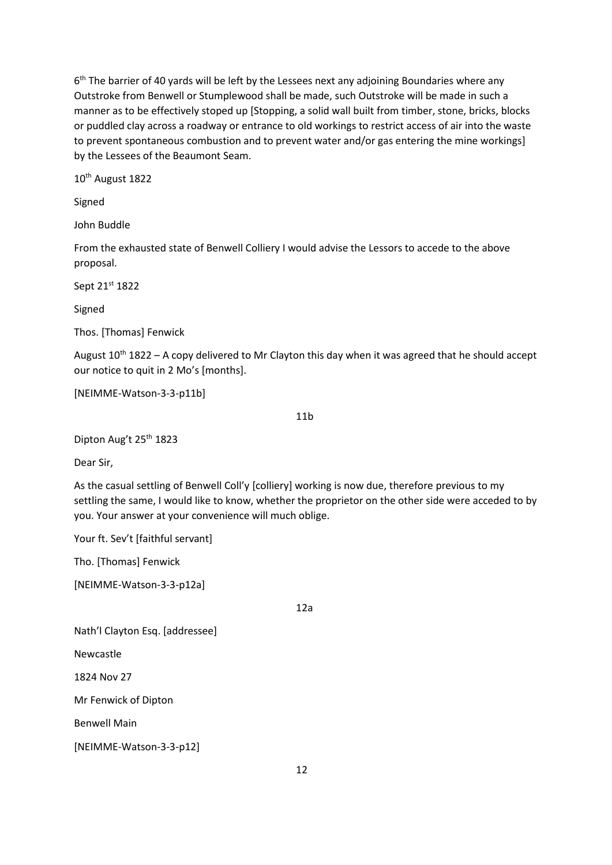6<sup>th</sup> The barrier of 40 yards will be left by the Lessees next any adjoining Boundaries where any Outstroke from Benwell or Stumplewood shall be made, such Outstroke will be made in such a manner as to be effectively stoped up [Stopping, a solid wall built from timber, stone, bricks, blocks or puddled clay across a roadway or entrance to old workings to restrict access of air into the waste to prevent spontaneous combustion and to prevent water and/or gas entering the mine workings] by the Lessees of the Beaumont Seam.

10th August 1822

Signed

John Buddle

From the exhausted state of Benwell Colliery I would advise the Lessors to accede to the above proposal.

Sept 21st 1822

Signed

Thos. [Thomas] Fenwick

August  $10^{th}$  1822 – A copy delivered to Mr Clayton this day when it was agreed that he should accept our notice to quit in 2 Mo's [months].

[NEIMME-Watson-3-3-p11b]

11b

Dipton Aug't 25<sup>th</sup> 1823

Dear Sir,

As the casual settling of Benwell Coll'y [colliery] working is now due, therefore previous to my settling the same, I would like to know, whether the proprietor on the other side were acceded to by you. Your answer at your convenience will much oblige.

Your ft. Sev't [faithful servant]

Tho. [Thomas] Fenwick

[NEIMME-Watson-3-3-p12a]

12a

Nath'l Clayton Esq. [addressee]

Newcastle

1824 Nov 27

Mr Fenwick of Dipton

Benwell Main

[NEIMME-Watson-3-3-p12]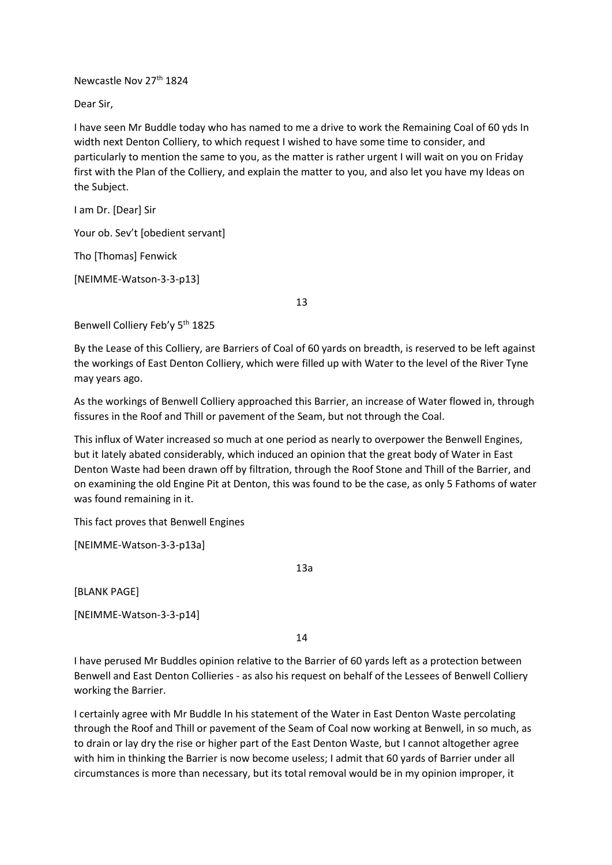Newcastle Nov 27<sup>th</sup> 1824

Dear Sir,

I have seen Mr Buddle today who has named to me a drive to work the Remaining Coal of 60 yds In width next Denton Colliery, to which request I wished to have some time to consider, and particularly to mention the same to you, as the matter is rather urgent I will wait on you on Friday first with the Plan of the Colliery, and explain the matter to you, and also let you have my Ideas on the Subject.

I am Dr. [Dear] Sir

Your ob. Sev't [obedient servant]

Tho [Thomas] Fenwick

[NEIMME-Watson-3-3-p13]

13

Benwell Colliery Feb'y 5<sup>th</sup> 1825

By the Lease of this Colliery, are Barriers of Coal of 60 yards on breadth, is reserved to be left against the workings of East Denton Colliery, which were filled up with Water to the level of the River Tyne may years ago.

As the workings of Benwell Colliery approached this Barrier, an increase of Water flowed in, through fissures in the Roof and Thill or pavement of the Seam, but not through the Coal.

This influx of Water increased so much at one period as nearly to overpower the Benwell Engines, but it lately abated considerably, which induced an opinion that the great body of Water in East Denton Waste had been drawn off by filtration, through the Roof Stone and Thill of the Barrier, and on examining the old Engine Pit at Denton, this was found to be the case, as only 5 Fathoms of water was found remaining in it.

This fact proves that Benwell Engines

[NEIMME-Watson-3-3-p13a]

[BLANK PAGE]

[NEIMME-Watson-3-3-p14]

14

13a

I have perused Mr Buddles opinion relative to the Barrier of 60 yards left as a protection between Benwell and East Denton Collieries - as also his request on behalf of the Lessees of Benwell Colliery working the Barrier.

I certainly agree with Mr Buddle In his statement of the Water in East Denton Waste percolating through the Roof and Thill or pavement of the Seam of Coal now working at Benwell, in so much, as to drain or lay dry the rise or higher part of the East Denton Waste, but I cannot altogether agree with him in thinking the Barrier is now become useless; I admit that 60 yards of Barrier under all circumstances is more than necessary, but its total removal would be in my opinion improper, it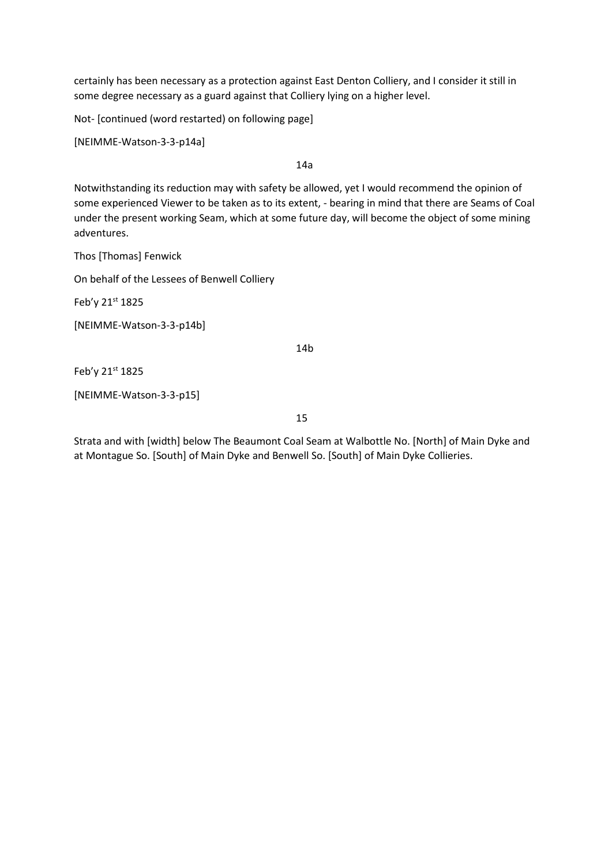certainly has been necessary as a protection against East Denton Colliery, and I consider it still in some degree necessary as a guard against that Colliery lying on a higher level.

Not- [continued (word restarted) on following page]

[NEIMME-Watson-3-3-p14a]

14a

Notwithstanding its reduction may with safety be allowed, yet I would recommend the opinion of some experienced Viewer to be taken as to its extent, - bearing in mind that there are Seams of Coal under the present working Seam, which at some future day, will become the object of some mining adventures.

Thos [Thomas] Fenwick

On behalf of the Lessees of Benwell Colliery

Feb'y 21st 1825

[NEIMME-Watson-3-3-p14b]

14b

Feb'y 21st 1825

[NEIMME-Watson-3-3-p15]

15

Strata and with [width] below The Beaumont Coal Seam at Walbottle No. [North] of Main Dyke and at Montague So. [South] of Main Dyke and Benwell So. [South] of Main Dyke Collieries.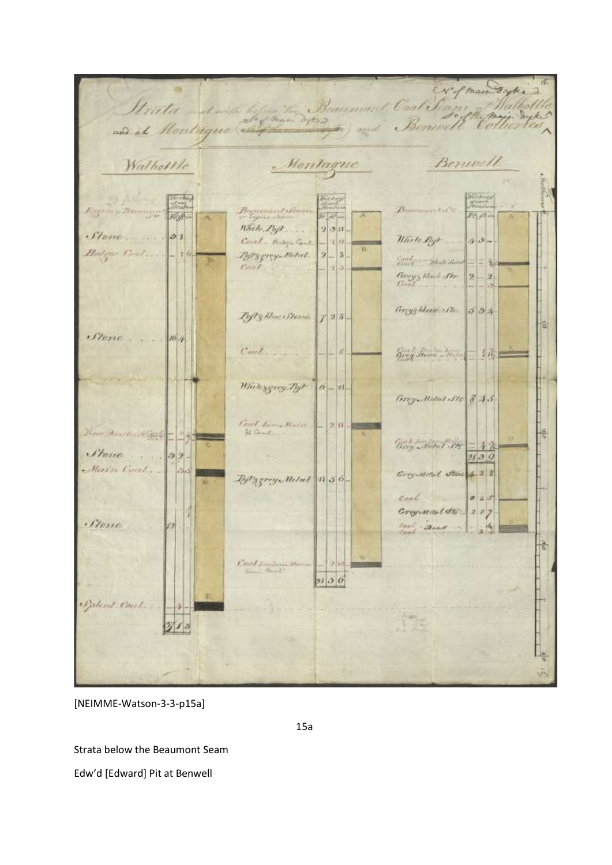Stratu de le forme Baumant Contestant Malholle Walholtle Montague Benwell Eugène a Banningur Forste Barth Beginnet Germ  $\mathbb{Z}_2$  /4.  $2 - 1 + 1 -$ While  $P_0/r$ ...  $2.2n$  $.$ *Stone*  $31$  $4.3 -$ Court, Hospitane White By  $10 -$ Hedgar Coal. Typygrey Melet. 2  $-|3|$ Cash - Mitt Sin - 21 Court  $7|2|$ Frey's Black Sto  $\mathbf{2}$  $-|2|$ Gryghleen Str. 534 Pofty blue Steve 128. ia  $S$ 104  $C$ ant brey home bonne 1 in While ggary Poft  $0 - 11$ Grey Motel Ste 8 15 Cort learn Haven  $2|11|$ 쁂 Grey Mapal Str Stone.  $|22|$  $71.39$ Main Coul. Зk Creyword Stine 4.2.8 By servy Metal 11 56coal 图 100  $x = 3$ Crypsical Sto 207 · Forse Carl Sand  $\mathcal{A}_n$  $rac{1}{2}$ well for dome Harry 2  $2130$ Palent Coul. 350

[NEIMME-Watson-3-3-p15a]

15a

Strata below the Beaumont Seam Edw'd [Edward] Pit at Benwell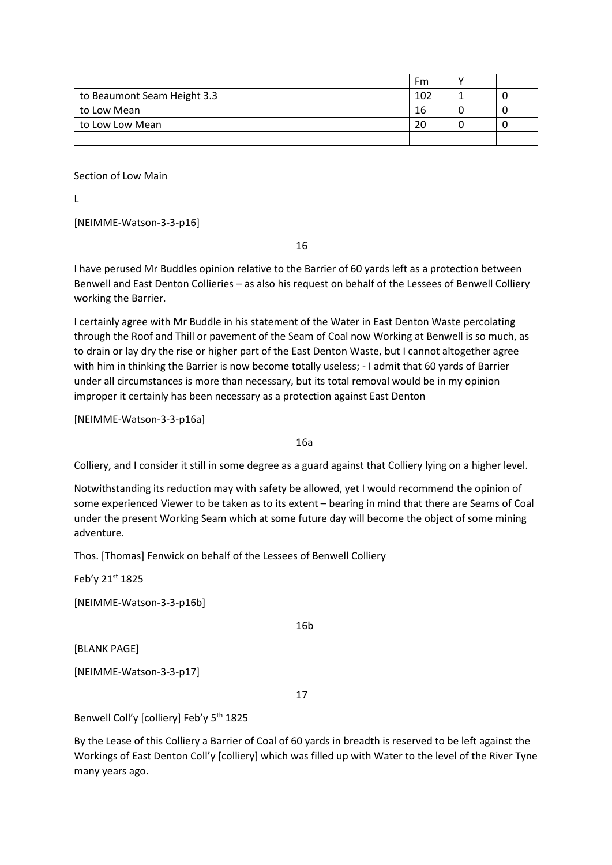|                             | Fm  |  |
|-----------------------------|-----|--|
| to Beaumont Seam Height 3.3 | 102 |  |
| to Low Mean                 | 16  |  |
| to Low Low Mean             | 20  |  |
|                             |     |  |

Section of Low Main

 $\mathbf{L}$ 

[NEIMME-Watson-3-3-p16]

16

I have perused Mr Buddles opinion relative to the Barrier of 60 yards left as a protection between Benwell and East Denton Collieries – as also his request on behalf of the Lessees of Benwell Colliery working the Barrier.

I certainly agree with Mr Buddle in his statement of the Water in East Denton Waste percolating through the Roof and Thill or pavement of the Seam of Coal now Working at Benwell is so much, as to drain or lay dry the rise or higher part of the East Denton Waste, but I cannot altogether agree with him in thinking the Barrier is now become totally useless; - I admit that 60 yards of Barrier under all circumstances is more than necessary, but its total removal would be in my opinion improper it certainly has been necessary as a protection against East Denton

[NEIMME-Watson-3-3-p16a]

16a

Colliery, and I consider it still in some degree as a guard against that Colliery lying on a higher level.

Notwithstanding its reduction may with safety be allowed, yet I would recommend the opinion of some experienced Viewer to be taken as to its extent – bearing in mind that there are Seams of Coal under the present Working Seam which at some future day will become the object of some mining adventure.

Thos. [Thomas] Fenwick on behalf of the Lessees of Benwell Colliery

Feb'y 21st 1825

[NEIMME-Watson-3-3-p16b]

16b

[BLANK PAGE]

[NEIMME-Watson-3-3-p17]

17

Benwell Coll'y [colliery] Feb'y 5<sup>th</sup> 1825

By the Lease of this Colliery a Barrier of Coal of 60 yards in breadth is reserved to be left against the Workings of East Denton Coll'y [colliery] which was filled up with Water to the level of the River Tyne many years ago.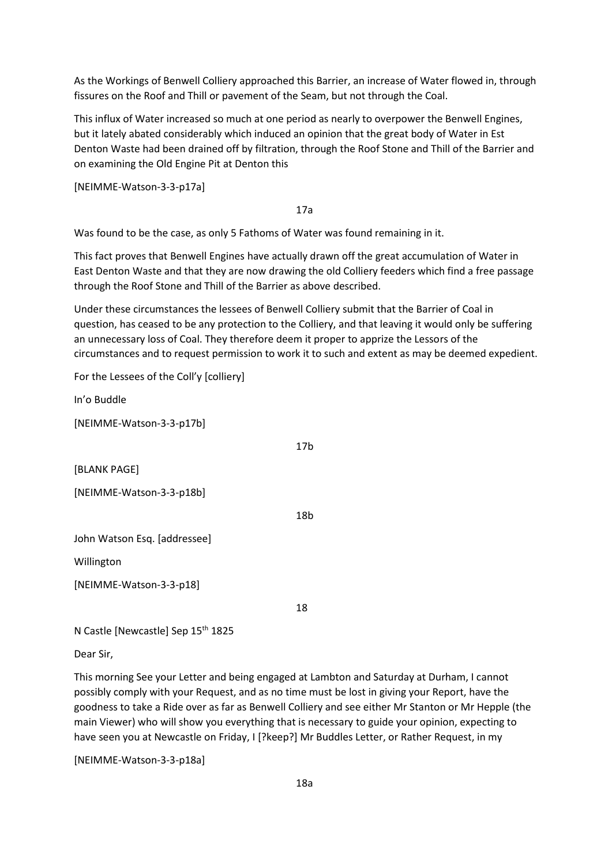As the Workings of Benwell Colliery approached this Barrier, an increase of Water flowed in, through fissures on the Roof and Thill or pavement of the Seam, but not through the Coal.

This influx of Water increased so much at one period as nearly to overpower the Benwell Engines, but it lately abated considerably which induced an opinion that the great body of Water in Est Denton Waste had been drained off by filtration, through the Roof Stone and Thill of the Barrier and on examining the Old Engine Pit at Denton this

[NEIMME-Watson-3-3-p17a]

17a

Was found to be the case, as only 5 Fathoms of Water was found remaining in it.

This fact proves that Benwell Engines have actually drawn off the great accumulation of Water in East Denton Waste and that they are now drawing the old Colliery feeders which find a free passage through the Roof Stone and Thill of the Barrier as above described.

Under these circumstances the lessees of Benwell Colliery submit that the Barrier of Coal in question, has ceased to be any protection to the Colliery, and that leaving it would only be suffering an unnecessary loss of Coal. They therefore deem it proper to apprize the Lessors of the circumstances and to request permission to work it to such and extent as may be deemed expedient.

For the Lessees of the Coll'y [colliery]

In'o Buddle

[NEIMME-Watson-3-3-p17b]

[BLANK PAGE]

[NEIMME-Watson-3-3-p18b]

18b

17b

John Watson Esq. [addressee]

Willington

[NEIMME-Watson-3-3-p18]

18

N Castle [Newcastle] Sep 15<sup>th</sup> 1825

Dear Sir,

This morning See your Letter and being engaged at Lambton and Saturday at Durham, I cannot possibly comply with your Request, and as no time must be lost in giving your Report, have the goodness to take a Ride over as far as Benwell Colliery and see either Mr Stanton or Mr Hepple (the main Viewer) who will show you everything that is necessary to guide your opinion, expecting to have seen you at Newcastle on Friday, I [?keep?] Mr Buddles Letter, or Rather Request, in my

[NEIMME-Watson-3-3-p18a]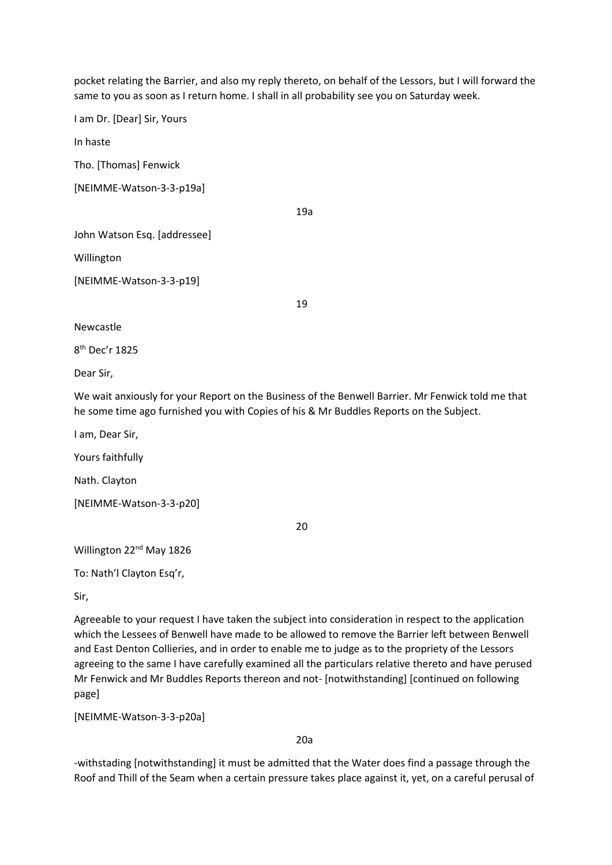pocket relating the Barrier, and also my reply thereto, on behalf of the Lessors, but I will forward the same to you as soon as I return home. I shall in all probability see you on Saturday week.

I am Dr. [Dear] Sir, Yours

In haste

Tho. [Thomas] Fenwick

[NEIMME-Watson-3-3-p19a]

19a

John Watson Esq. [addressee]

Willington

[NEIMME-Watson-3-3-p19]

Newcastle

8 th Dec'r 1825

Dear Sir,

We wait anxiously for your Report on the Business of the Benwell Barrier. Mr Fenwick told me that he some time ago furnished you with Copies of his & Mr Buddles Reports on the Subject.

19

I am, Dear Sir,

Yours faithfully

Nath. Clayton

[NEIMME-Watson-3-3-p20]

20

Willington 22<sup>nd</sup> May 1826

To: Nath'l Clayton Esq'r,

Sir,

Agreeable to your request I have taken the subject into consideration in respect to the application which the Lessees of Benwell have made to be allowed to remove the Barrier left between Benwell and East Denton Collieries, and in order to enable me to judge as to the propriety of the Lessors agreeing to the same I have carefully examined all the particulars relative thereto and have perused Mr Fenwick and Mr Buddles Reports thereon and not- [notwithstanding] [continued on following page]

[NEIMME-Watson-3-3-p20a]

20a

-withstading [notwithstanding] it must be admitted that the Water does find a passage through the Roof and Thill of the Seam when a certain pressure takes place against it, yet, on a careful perusal of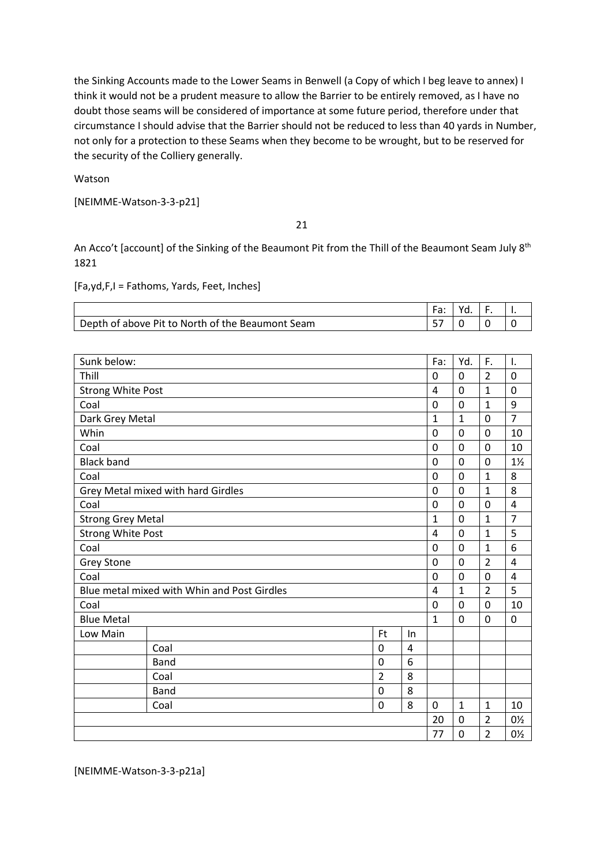the Sinking Accounts made to the Lower Seams in Benwell (a Copy of which I beg leave to annex) I think it would not be a prudent measure to allow the Barrier to be entirely removed, as I have no doubt those seams will be considered of importance at some future period, therefore under that circumstance I should advise that the Barrier should not be reduced to less than 40 yards in Number, not only for a protection to these Seams when they become to be wrought, but to be reserved for the security of the Colliery generally.

Watson

[NEIMME-Watson-3-3-p21]

21

An Acco't [account] of the Sinking of the Beaumont Pit from the Thill of the Beaumont Seam July 8<sup>th</sup> 1821

[Fa,yd,F,I = Fathoms, Yards, Feet, Inches]

|                                                  | u. |  |
|--------------------------------------------------|----|--|
| Depth of above Pit to North of the Beaumont Seam |    |  |

| Sunk below:              |                                             |                |                | Fa:            | Yd.            | F.             | $\mathbf{I}$ . |
|--------------------------|---------------------------------------------|----------------|----------------|----------------|----------------|----------------|----------------|
|                          |                                             |                |                |                |                |                |                |
| Thill                    |                                             |                |                | 0              | 0              | $\overline{2}$ | 0              |
| <b>Strong White Post</b> |                                             |                |                | $\overline{a}$ | 0              | $\mathbf{1}$   | 0              |
| Coal                     |                                             |                |                | 0              | 0              | $\mathbf{1}$   | 9              |
| Dark Grey Metal          |                                             |                |                | $\mathbf{1}$   | 1              | $\mathbf 0$    | $\overline{7}$ |
| Whin                     |                                             |                |                | 0              | 0              | $\mathbf 0$    | 10             |
| Coal                     |                                             |                |                | 0              | 0              | $\Omega$       | 10             |
| <b>Black band</b>        |                                             |                |                | 0              | $\mathbf{0}$   | $\mathbf 0$    | $1\frac{1}{2}$ |
| Coal                     |                                             |                |                | $\mathbf 0$    | $\mathbf 0$    | $\overline{1}$ | 8              |
|                          | Grey Metal mixed with hard Girdles          |                |                | $\mathbf 0$    | 0              | $\mathbf{1}$   | 8              |
| Coal                     |                                             |                |                | 0              | 0              | $\mathbf 0$    | 4              |
| <b>Strong Grey Metal</b> |                                             |                |                | 1              | 0              | $\mathbf{1}$   | $\overline{7}$ |
| <b>Strong White Post</b> |                                             |                | 4              | 0              | 1              | 5              |                |
| Coal                     |                                             |                | 0              | $\mathbf 0$    | $\mathbf{1}$   | 6              |                |
| <b>Grey Stone</b>        |                                             |                | 0              | 0              | $\overline{2}$ | 4              |                |
| Coal                     |                                             |                | 0              | 0              | $\mathbf 0$    | 4              |                |
|                          | Blue metal mixed with Whin and Post Girdles |                |                | $\overline{4}$ | $\mathbf{1}$   | $\overline{2}$ | 5              |
| Coal                     |                                             |                |                | 0              | 0              | $\mathbf 0$    | 10             |
| <b>Blue Metal</b>        |                                             |                |                | $\mathbf{1}$   | 0              | $\mathbf 0$    | $\mathbf 0$    |
| Low Main                 |                                             | Ft             | In             |                |                |                |                |
|                          | Coal                                        | 0              | $\overline{4}$ |                |                |                |                |
|                          | <b>Band</b>                                 | 0              | 6              |                |                |                |                |
|                          | Coal                                        | $\overline{2}$ | 8              |                |                |                |                |
|                          | <b>Band</b>                                 | 0              | 8              |                |                |                |                |
|                          | Coal                                        | 0              | 8              | 0              | $\mathbf{1}$   | $\mathbf{1}$   | 10             |
|                          |                                             |                |                | 20             | 0              | $\overline{2}$ | 0½             |
|                          |                                             |                |                | 77             | 0              | $\overline{2}$ | 0½             |

[NEIMME-Watson-3-3-p21a]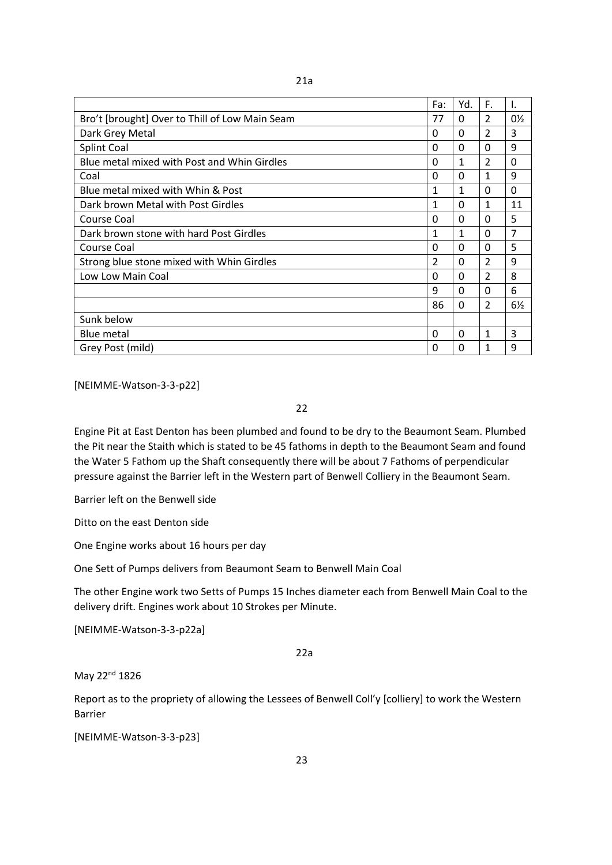|                                                | Fa:           | Yd.          | F.                       | I. |
|------------------------------------------------|---------------|--------------|--------------------------|----|
| Bro't [brought] Over to Thill of Low Main Seam | 77            | 0            | 2                        | 0½ |
| Dark Grey Metal                                | <sup>0</sup>  | 0            | $\overline{\phantom{a}}$ | 3  |
| Splint Coal                                    | 0             | 0            | <sup>0</sup>             | 9  |
| Blue metal mixed with Post and Whin Girdles    | 0             | $\mathbf{1}$ | 2                        | 0  |
| Coal                                           | 0             | 0            | 1                        | 9  |
| Blue metal mixed with Whin & Post              | 1             | 1            | 0                        | 0  |
| Dark brown Metal with Post Girdles             | 1             | 0            | 1                        | 11 |
| Course Coal                                    | 0             | 0            | 0                        | 5  |
| Dark brown stone with hard Post Girdles        | 1             | 1            | 0                        | 7  |
| Course Coal                                    | 0             | 0            | $\Omega$                 | 5  |
| Strong blue stone mixed with Whin Girdles      | $\mathcal{P}$ | 0            | $\mathcal{P}$            | 9  |
| Low Low Main Coal                              | $\Omega$      | 0            | $\overline{\mathcal{L}}$ | 8  |
|                                                | 9             | <sup>0</sup> | $\Omega$                 | 6  |
|                                                | 86            | <sup>0</sup> | $\mathcal{P}$            | 6½ |
| Sunk below                                     |               |              |                          |    |
| <b>Blue metal</b>                              | <sup>0</sup>  | O            | 1                        | 3  |
| Grey Post (mild)                               | 0             | O            | 1                        | 9  |

[NEIMME-Watson-3-3-p22]

22

Engine Pit at East Denton has been plumbed and found to be dry to the Beaumont Seam. Plumbed the Pit near the Staith which is stated to be 45 fathoms in depth to the Beaumont Seam and found the Water 5 Fathom up the Shaft consequently there will be about 7 Fathoms of perpendicular pressure against the Barrier left in the Western part of Benwell Colliery in the Beaumont Seam.

Barrier left on the Benwell side

Ditto on the east Denton side

One Engine works about 16 hours per day

One Sett of Pumps delivers from Beaumont Seam to Benwell Main Coal

The other Engine work two Setts of Pumps 15 Inches diameter each from Benwell Main Coal to the delivery drift. Engines work about 10 Strokes per Minute.

[NEIMME-Watson-3-3-p22a]

22a

May 22<sup>nd</sup> 1826

Report as to the propriety of allowing the Lessees of Benwell Coll'y [colliery] to work the Western Barrier

[NEIMME-Watson-3-3-p23]